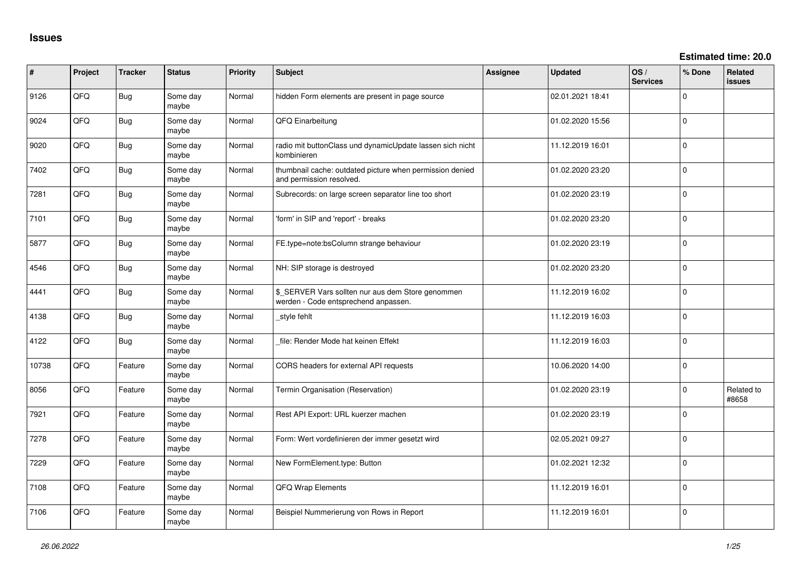| ∦     | Project | <b>Tracker</b> | <b>Status</b>     | Priority | Subject                                                                                   | <b>Assignee</b> | <b>Updated</b>   | OS/<br><b>Services</b> | % Done         | <b>Related</b><br><b>issues</b> |
|-------|---------|----------------|-------------------|----------|-------------------------------------------------------------------------------------------|-----------------|------------------|------------------------|----------------|---------------------------------|
| 9126  | QFQ     | <b>Bug</b>     | Some day<br>maybe | Normal   | hidden Form elements are present in page source                                           |                 | 02.01.2021 18:41 |                        | $\Omega$       |                                 |
| 9024  | QFQ     | <b>Bug</b>     | Some day<br>maybe | Normal   | QFQ Einarbeitung                                                                          |                 | 01.02.2020 15:56 |                        | $\Omega$       |                                 |
| 9020  | QFQ     | <b>Bug</b>     | Some day<br>maybe | Normal   | radio mit buttonClass und dynamicUpdate lassen sich nicht<br>kombinieren                  |                 | 11.12.2019 16:01 |                        | $\Omega$       |                                 |
| 7402  | QFQ     | <b>Bug</b>     | Some day<br>maybe | Normal   | thumbnail cache: outdated picture when permission denied<br>and permission resolved.      |                 | 01.02.2020 23:20 |                        | $\mathbf 0$    |                                 |
| 7281  | QFQ     | <b>Bug</b>     | Some day<br>maybe | Normal   | Subrecords: on large screen separator line too short                                      |                 | 01.02.2020 23:19 |                        | $\mathbf 0$    |                                 |
| 7101  | QFQ     | Bug            | Some day<br>maybe | Normal   | 'form' in SIP and 'report' - breaks                                                       |                 | 01.02.2020 23:20 |                        | $\Omega$       |                                 |
| 5877  | QFQ     | <b>Bug</b>     | Some day<br>maybe | Normal   | FE.type=note:bsColumn strange behaviour                                                   |                 | 01.02.2020 23:19 |                        | $\Omega$       |                                 |
| 4546  | QFQ     | Bug            | Some day<br>maybe | Normal   | NH: SIP storage is destroyed                                                              |                 | 01.02.2020 23:20 |                        | $\mathbf 0$    |                                 |
| 4441  | QFQ     | Bug            | Some day<br>maybe | Normal   | \$_SERVER Vars sollten nur aus dem Store genommen<br>werden - Code entsprechend anpassen. |                 | 11.12.2019 16:02 |                        | $\mathbf 0$    |                                 |
| 4138  | QFQ     | <b>Bug</b>     | Some day<br>maybe | Normal   | style fehlt                                                                               |                 | 11.12.2019 16:03 |                        | $\overline{0}$ |                                 |
| 4122  | QFQ     | Bug            | Some day<br>maybe | Normal   | file: Render Mode hat keinen Effekt                                                       |                 | 11.12.2019 16:03 |                        | $\mathbf 0$    |                                 |
| 10738 | QFQ     | Feature        | Some day<br>maybe | Normal   | CORS headers for external API requests                                                    |                 | 10.06.2020 14:00 |                        | 0              |                                 |
| 8056  | QFQ     | Feature        | Some day<br>maybe | Normal   | Termin Organisation (Reservation)                                                         |                 | 01.02.2020 23:19 |                        | $\mathbf 0$    | Related to<br>#8658             |
| 7921  | QFQ     | Feature        | Some day<br>maybe | Normal   | Rest API Export: URL kuerzer machen                                                       |                 | 01.02.2020 23:19 |                        | $\mathbf 0$    |                                 |
| 7278  | QFQ     | Feature        | Some day<br>maybe | Normal   | Form: Wert vordefinieren der immer gesetzt wird                                           |                 | 02.05.2021 09:27 |                        | 0              |                                 |
| 7229  | QFQ     | Feature        | Some day<br>maybe | Normal   | New FormElement.type: Button                                                              |                 | 01.02.2021 12:32 |                        | $\mathbf 0$    |                                 |
| 7108  | QFQ     | Feature        | Some day<br>maybe | Normal   | QFQ Wrap Elements                                                                         |                 | 11.12.2019 16:01 |                        | $\Omega$       |                                 |
| 7106  | QFQ     | Feature        | Some day<br>maybe | Normal   | Beispiel Nummerierung von Rows in Report                                                  |                 | 11.12.2019 16:01 |                        | $\mathbf 0$    |                                 |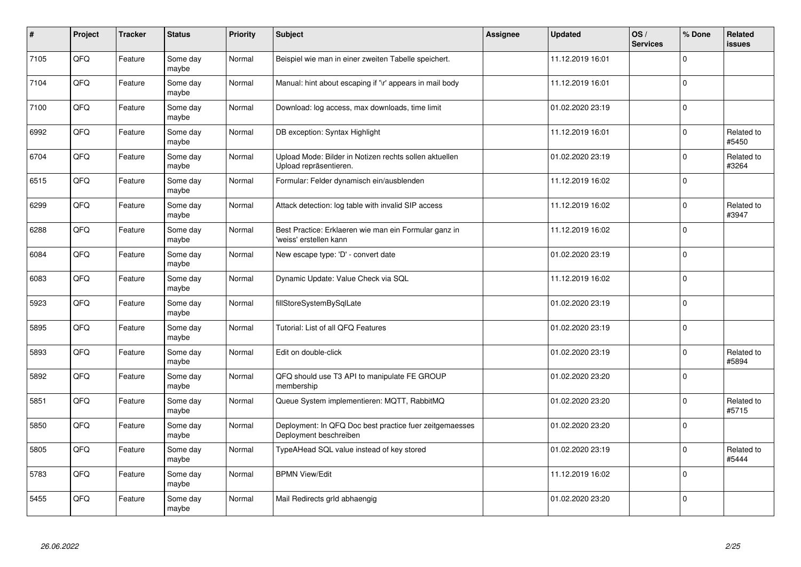| $\vert$ # | Project | <b>Tracker</b> | <b>Status</b>     | <b>Priority</b> | <b>Subject</b>                                                                    | Assignee | <b>Updated</b>   | OS/<br><b>Services</b> | % Done      | Related<br>issues   |
|-----------|---------|----------------|-------------------|-----------------|-----------------------------------------------------------------------------------|----------|------------------|------------------------|-------------|---------------------|
| 7105      | QFQ     | Feature        | Some day<br>maybe | Normal          | Beispiel wie man in einer zweiten Tabelle speichert.                              |          | 11.12.2019 16:01 |                        | $\Omega$    |                     |
| 7104      | QFQ     | Feature        | Some day<br>maybe | Normal          | Manual: hint about escaping if '\r' appears in mail body                          |          | 11.12.2019 16:01 |                        | $\Omega$    |                     |
| 7100      | QFQ     | Feature        | Some day<br>maybe | Normal          | Download: log access, max downloads, time limit                                   |          | 01.02.2020 23:19 |                        | $\Omega$    |                     |
| 6992      | QFQ     | Feature        | Some day<br>maybe | Normal          | DB exception: Syntax Highlight                                                    |          | 11.12.2019 16:01 |                        | $\Omega$    | Related to<br>#5450 |
| 6704      | QFQ     | Feature        | Some day<br>maybe | Normal          | Upload Mode: Bilder in Notizen rechts sollen aktuellen<br>Upload repräsentieren.  |          | 01.02.2020 23:19 |                        | $\Omega$    | Related to<br>#3264 |
| 6515      | QFQ     | Feature        | Some day<br>maybe | Normal          | Formular: Felder dynamisch ein/ausblenden                                         |          | 11.12.2019 16:02 |                        | $\Omega$    |                     |
| 6299      | QFQ     | Feature        | Some day<br>maybe | Normal          | Attack detection: log table with invalid SIP access                               |          | 11.12.2019 16:02 |                        | $\Omega$    | Related to<br>#3947 |
| 6288      | QFQ     | Feature        | Some day<br>maybe | Normal          | Best Practice: Erklaeren wie man ein Formular ganz in<br>'weiss' erstellen kann   |          | 11.12.2019 16:02 |                        | $\Omega$    |                     |
| 6084      | QFQ     | Feature        | Some day<br>maybe | Normal          | New escape type: 'D' - convert date                                               |          | 01.02.2020 23:19 |                        | $\Omega$    |                     |
| 6083      | QFQ     | Feature        | Some day<br>maybe | Normal          | Dynamic Update: Value Check via SQL                                               |          | 11.12.2019 16:02 |                        | $\Omega$    |                     |
| 5923      | QFQ     | Feature        | Some day<br>maybe | Normal          | fillStoreSystemBySqlLate                                                          |          | 01.02.2020 23:19 |                        | $\mathbf 0$ |                     |
| 5895      | QFQ     | Feature        | Some day<br>maybe | Normal          | Tutorial: List of all QFQ Features                                                |          | 01.02.2020 23:19 |                        | $\mathbf 0$ |                     |
| 5893      | QFQ     | Feature        | Some day<br>maybe | Normal          | Edit on double-click                                                              |          | 01.02.2020 23:19 |                        | $\Omega$    | Related to<br>#5894 |
| 5892      | QFQ     | Feature        | Some day<br>maybe | Normal          | QFQ should use T3 API to manipulate FE GROUP<br>membership                        |          | 01.02.2020 23:20 |                        | $\mathbf 0$ |                     |
| 5851      | QFQ     | Feature        | Some day<br>maybe | Normal          | Queue System implementieren: MQTT, RabbitMQ                                       |          | 01.02.2020 23:20 |                        | $\Omega$    | Related to<br>#5715 |
| 5850      | QFQ     | Feature        | Some day<br>maybe | Normal          | Deployment: In QFQ Doc best practice fuer zeitgemaesses<br>Deployment beschreiben |          | 01.02.2020 23:20 |                        | $\Omega$    |                     |
| 5805      | QFQ     | Feature        | Some day<br>maybe | Normal          | TypeAHead SQL value instead of key stored                                         |          | 01.02.2020 23:19 |                        | $\Omega$    | Related to<br>#5444 |
| 5783      | QFQ     | Feature        | Some day<br>maybe | Normal          | <b>BPMN View/Edit</b>                                                             |          | 11.12.2019 16:02 |                        | $\mathbf 0$ |                     |
| 5455      | QFQ     | Feature        | Some day<br>maybe | Normal          | Mail Redirects grld abhaengig                                                     |          | 01.02.2020 23:20 |                        | $\Omega$    |                     |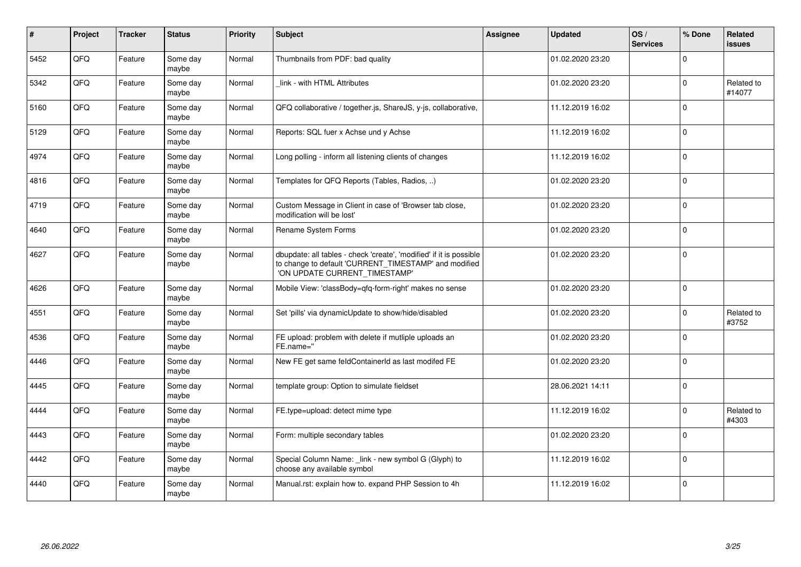| #    | Project | <b>Tracker</b> | <b>Status</b>     | <b>Priority</b> | <b>Subject</b>                                                                                                                                                | Assignee | <b>Updated</b>   | OS/<br><b>Services</b> | % Done         | Related<br><b>issues</b> |
|------|---------|----------------|-------------------|-----------------|---------------------------------------------------------------------------------------------------------------------------------------------------------------|----------|------------------|------------------------|----------------|--------------------------|
| 5452 | QFQ     | Feature        | Some day<br>maybe | Normal          | Thumbnails from PDF: bad quality                                                                                                                              |          | 01.02.2020 23:20 |                        | $\Omega$       |                          |
| 5342 | QFQ     | Feature        | Some day<br>maybe | Normal          | link - with HTML Attributes                                                                                                                                   |          | 01.02.2020 23:20 |                        | $\Omega$       | Related to<br>#14077     |
| 5160 | QFQ     | Feature        | Some day<br>maybe | Normal          | QFQ collaborative / together.js, ShareJS, y-js, collaborative,                                                                                                |          | 11.12.2019 16:02 |                        | $\Omega$       |                          |
| 5129 | QFQ     | Feature        | Some day<br>maybe | Normal          | Reports: SQL fuer x Achse und y Achse                                                                                                                         |          | 11.12.2019 16:02 |                        | $\Omega$       |                          |
| 4974 | QFQ     | Feature        | Some day<br>maybe | Normal          | Long polling - inform all listening clients of changes                                                                                                        |          | 11.12.2019 16:02 |                        | $\mathbf 0$    |                          |
| 4816 | QFQ     | Feature        | Some day<br>maybe | Normal          | Templates for QFQ Reports (Tables, Radios, )                                                                                                                  |          | 01.02.2020 23:20 |                        | $\mathbf 0$    |                          |
| 4719 | QFQ     | Feature        | Some day<br>maybe | Normal          | Custom Message in Client in case of 'Browser tab close,<br>modification will be lost'                                                                         |          | 01.02.2020 23:20 |                        | $\Omega$       |                          |
| 4640 | QFQ     | Feature        | Some day<br>maybe | Normal          | Rename System Forms                                                                                                                                           |          | 01.02.2020 23:20 |                        | $\Omega$       |                          |
| 4627 | QFQ     | Feature        | Some day<br>maybe | Normal          | dbupdate: all tables - check 'create', 'modified' if it is possible<br>to change to default 'CURRENT_TIMESTAMP' and modified<br>'ON UPDATE CURRENT_TIMESTAMP' |          | 01.02.2020 23:20 |                        | $\overline{0}$ |                          |
| 4626 | QFQ     | Feature        | Some day<br>maybe | Normal          | Mobile View: 'classBody=qfq-form-right' makes no sense                                                                                                        |          | 01.02.2020 23:20 |                        | $\Omega$       |                          |
| 4551 | QFQ     | Feature        | Some day<br>maybe | Normal          | Set 'pills' via dynamicUpdate to show/hide/disabled                                                                                                           |          | 01.02.2020 23:20 |                        | $\Omega$       | Related to<br>#3752      |
| 4536 | QFQ     | Feature        | Some day<br>maybe | Normal          | FE upload: problem with delete if mutliple uploads an<br>FE.name="                                                                                            |          | 01.02.2020 23:20 |                        | $\Omega$       |                          |
| 4446 | QFQ     | Feature        | Some day<br>maybe | Normal          | New FE get same feldContainerId as last modifed FE                                                                                                            |          | 01.02.2020 23:20 |                        | $\Omega$       |                          |
| 4445 | QFQ     | Feature        | Some day<br>maybe | Normal          | template group: Option to simulate fieldset                                                                                                                   |          | 28.06.2021 14:11 |                        | $\Omega$       |                          |
| 4444 | QFQ     | Feature        | Some day<br>maybe | Normal          | FE.type=upload: detect mime type                                                                                                                              |          | 11.12.2019 16:02 |                        | $\mathbf 0$    | Related to<br>#4303      |
| 4443 | QFQ     | Feature        | Some day<br>maybe | Normal          | Form: multiple secondary tables                                                                                                                               |          | 01.02.2020 23:20 |                        | $\Omega$       |                          |
| 4442 | QFQ     | Feature        | Some day<br>maybe | Normal          | Special Column Name: link - new symbol G (Glyph) to<br>choose any available symbol                                                                            |          | 11.12.2019 16:02 |                        | $\Omega$       |                          |
| 4440 | QFQ     | Feature        | Some day<br>maybe | Normal          | Manual.rst: explain how to. expand PHP Session to 4h                                                                                                          |          | 11.12.2019 16:02 |                        | $\Omega$       |                          |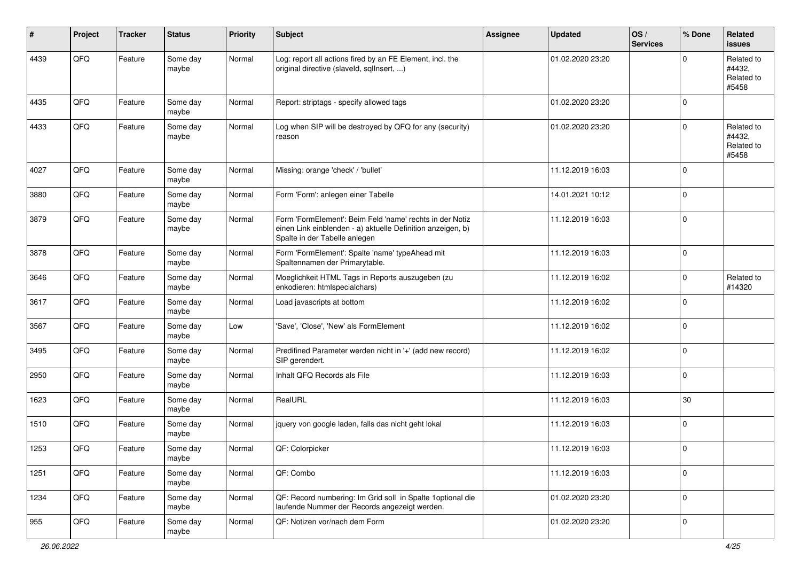| #    | Project | <b>Tracker</b> | <b>Status</b>     | <b>Priority</b> | <b>Subject</b>                                                                                                                                           | Assignee | <b>Updated</b>   | OS/<br><b>Services</b> | % Done      | Related<br><b>issues</b>                    |
|------|---------|----------------|-------------------|-----------------|----------------------------------------------------------------------------------------------------------------------------------------------------------|----------|------------------|------------------------|-------------|---------------------------------------------|
| 4439 | QFQ     | Feature        | Some day<br>maybe | Normal          | Log: report all actions fired by an FE Element, incl. the<br>original directive (slaveld, sqllnsert, )                                                   |          | 01.02.2020 23:20 |                        | $\Omega$    | Related to<br>#4432,<br>Related to<br>#5458 |
| 4435 | QFQ     | Feature        | Some day<br>maybe | Normal          | Report: striptags - specify allowed tags                                                                                                                 |          | 01.02.2020 23:20 |                        | $\Omega$    |                                             |
| 4433 | QFQ     | Feature        | Some day<br>maybe | Normal          | Log when SIP will be destroyed by QFQ for any (security)<br>reason                                                                                       |          | 01.02.2020 23:20 |                        | $\Omega$    | Related to<br>#4432,<br>Related to<br>#5458 |
| 4027 | QFQ     | Feature        | Some day<br>maybe | Normal          | Missing: orange 'check' / 'bullet'                                                                                                                       |          | 11.12.2019 16:03 |                        | $\Omega$    |                                             |
| 3880 | QFQ     | Feature        | Some day<br>maybe | Normal          | Form 'Form': anlegen einer Tabelle                                                                                                                       |          | 14.01.2021 10:12 |                        | $\Omega$    |                                             |
| 3879 | QFQ     | Feature        | Some day<br>maybe | Normal          | Form 'FormElement': Beim Feld 'name' rechts in der Notiz<br>einen Link einblenden - a) aktuelle Definition anzeigen, b)<br>Spalte in der Tabelle anlegen |          | 11.12.2019 16:03 |                        | $\mathbf 0$ |                                             |
| 3878 | QFQ     | Feature        | Some day<br>maybe | Normal          | Form 'FormElement': Spalte 'name' typeAhead mit<br>Spaltennamen der Primarytable.                                                                        |          | 11.12.2019 16:03 |                        | $\mathbf 0$ |                                             |
| 3646 | QFQ     | Feature        | Some day<br>maybe | Normal          | Moeglichkeit HTML Tags in Reports auszugeben (zu<br>enkodieren: htmlspecialchars)                                                                        |          | 11.12.2019 16:02 |                        | $\Omega$    | Related to<br>#14320                        |
| 3617 | QFQ     | Feature        | Some day<br>maybe | Normal          | Load javascripts at bottom                                                                                                                               |          | 11.12.2019 16:02 |                        | $\Omega$    |                                             |
| 3567 | QFQ     | Feature        | Some day<br>maybe | Low             | 'Save', 'Close', 'New' als FormElement                                                                                                                   |          | 11.12.2019 16:02 |                        | $\Omega$    |                                             |
| 3495 | QFQ     | Feature        | Some day<br>maybe | Normal          | Predifined Parameter werden nicht in '+' (add new record)<br>SIP gerendert.                                                                              |          | 11.12.2019 16:02 |                        | $\mathbf 0$ |                                             |
| 2950 | QFQ     | Feature        | Some day<br>maybe | Normal          | Inhalt QFQ Records als File                                                                                                                              |          | 11.12.2019 16:03 |                        | $\Omega$    |                                             |
| 1623 | QFQ     | Feature        | Some day<br>maybe | Normal          | RealURL                                                                                                                                                  |          | 11.12.2019 16:03 |                        | 30          |                                             |
| 1510 | QFQ     | Feature        | Some day<br>maybe | Normal          | jquery von google laden, falls das nicht geht lokal                                                                                                      |          | 11.12.2019 16:03 |                        | $\mathbf 0$ |                                             |
| 1253 | QFQ     | Feature        | Some day<br>maybe | Normal          | QF: Colorpicker                                                                                                                                          |          | 11.12.2019 16:03 |                        | 0           |                                             |
| 1251 | QFG     | Feature        | Some day<br>maybe | Normal          | QF: Combo                                                                                                                                                |          | 11.12.2019 16:03 |                        | $\Omega$    |                                             |
| 1234 | QFQ     | Feature        | Some day<br>maybe | Normal          | QF: Record numbering: Im Grid soll in Spalte 1 optional die<br>laufende Nummer der Records angezeigt werden.                                             |          | 01.02.2020 23:20 |                        | $\mathbf 0$ |                                             |
| 955  | QFQ     | Feature        | Some day<br>maybe | Normal          | QF: Notizen vor/nach dem Form                                                                                                                            |          | 01.02.2020 23:20 |                        | 0           |                                             |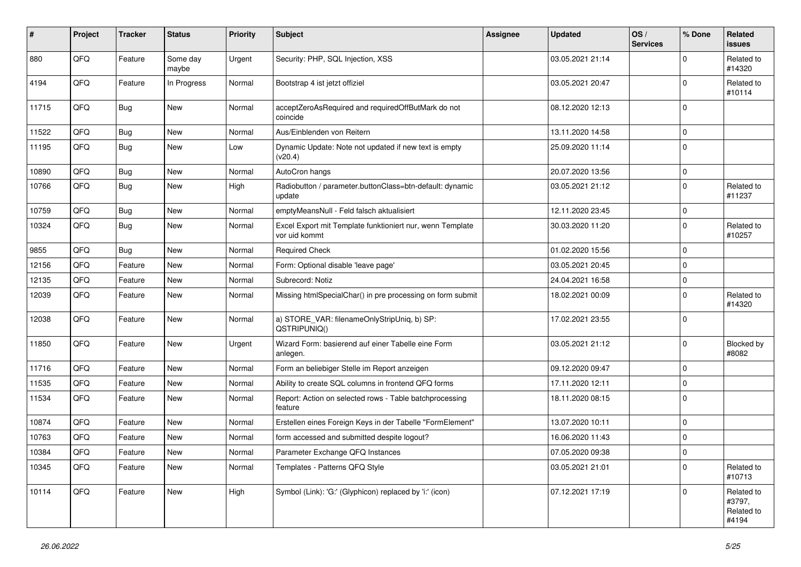| #     | Project | <b>Tracker</b> | <b>Status</b>     | <b>Priority</b> | <b>Subject</b>                                                             | Assignee | <b>Updated</b>   | OS/<br><b>Services</b> | % Done      | Related<br><b>issues</b>                    |
|-------|---------|----------------|-------------------|-----------------|----------------------------------------------------------------------------|----------|------------------|------------------------|-------------|---------------------------------------------|
| 880   | QFQ     | Feature        | Some day<br>maybe | Urgent          | Security: PHP, SQL Injection, XSS                                          |          | 03.05.2021 21:14 |                        | $\Omega$    | Related to<br>#14320                        |
| 4194  | QFQ     | Feature        | In Progress       | Normal          | Bootstrap 4 ist jetzt offiziel                                             |          | 03.05.2021 20:47 |                        | $\mathbf 0$ | Related to<br>#10114                        |
| 11715 | QFQ     | Bug            | <b>New</b>        | Normal          | acceptZeroAsRequired and requiredOffButMark do not<br>coincide             |          | 08.12.2020 12:13 |                        | $\Omega$    |                                             |
| 11522 | QFQ     | Bug            | <b>New</b>        | Normal          | Aus/Einblenden von Reitern                                                 |          | 13.11.2020 14:58 |                        | $\mathbf 0$ |                                             |
| 11195 | QFQ     | Bug            | New               | Low             | Dynamic Update: Note not updated if new text is empty<br>(v20.4)           |          | 25.09.2020 11:14 |                        | $\Omega$    |                                             |
| 10890 | QFQ     | Bug            | New               | Normal          | AutoCron hangs                                                             |          | 20.07.2020 13:56 |                        | $\mathbf 0$ |                                             |
| 10766 | QFQ     | Bug            | New               | High            | Radiobutton / parameter.buttonClass=btn-default: dynamic<br>update         |          | 03.05.2021 21:12 |                        | $\Omega$    | Related to<br>#11237                        |
| 10759 | QFQ     | <b>Bug</b>     | <b>New</b>        | Normal          | emptyMeansNull - Feld falsch aktualisiert                                  |          | 12.11.2020 23:45 |                        | $\mathbf 0$ |                                             |
| 10324 | QFQ     | Bug            | New               | Normal          | Excel Export mit Template funktioniert nur, wenn Template<br>vor uid kommt |          | 30.03.2020 11:20 |                        | $\Omega$    | Related to<br>#10257                        |
| 9855  | QFQ     | Bug            | <b>New</b>        | Normal          | <b>Required Check</b>                                                      |          | 01.02.2020 15:56 |                        | $\Omega$    |                                             |
| 12156 | QFQ     | Feature        | New               | Normal          | Form: Optional disable 'leave page'                                        |          | 03.05.2021 20:45 |                        | $\Omega$    |                                             |
| 12135 | QFQ     | Feature        | <b>New</b>        | Normal          | Subrecord: Notiz                                                           |          | 24.04.2021 16:58 |                        | $\Omega$    |                                             |
| 12039 | QFQ     | Feature        | New               | Normal          | Missing htmlSpecialChar() in pre processing on form submit                 |          | 18.02.2021 00:09 |                        | $\Omega$    | Related to<br>#14320                        |
| 12038 | QFQ     | Feature        | <b>New</b>        | Normal          | a) STORE_VAR: filenameOnlyStripUniq, b) SP:<br>QSTRIPUNIQ()                |          | 17.02.2021 23:55 |                        | $\Omega$    |                                             |
| 11850 | QFQ     | Feature        | <b>New</b>        | Urgent          | Wizard Form: basierend auf einer Tabelle eine Form<br>anlegen.             |          | 03.05.2021 21:12 |                        | $\Omega$    | Blocked by<br>#8082                         |
| 11716 | QFQ     | Feature        | <b>New</b>        | Normal          | Form an beliebiger Stelle im Report anzeigen                               |          | 09.12.2020 09:47 |                        | $\Omega$    |                                             |
| 11535 | QFQ     | Feature        | <b>New</b>        | Normal          | Ability to create SQL columns in frontend QFQ forms                        |          | 17.11.2020 12:11 |                        | 0           |                                             |
| 11534 | QFQ     | Feature        | New               | Normal          | Report: Action on selected rows - Table batchprocessing<br>feature         |          | 18.11.2020 08:15 |                        | $\Omega$    |                                             |
| 10874 | QFQ     | Feature        | New               | Normal          | Erstellen eines Foreign Keys in der Tabelle "FormElement"                  |          | 13.07.2020 10:11 |                        | $\mathbf 0$ |                                             |
| 10763 | QFQ     | Feature        | New               | Normal          | form accessed and submitted despite logout?                                |          | 16.06.2020 11:43 |                        | $\Omega$    |                                             |
| 10384 | QFG     | Feature        | New               | Normal          | Parameter Exchange QFQ Instances                                           |          | 07.05.2020 09:38 |                        | $\Omega$    |                                             |
| 10345 | QFQ     | Feature        | New               | Normal          | Templates - Patterns QFQ Style                                             |          | 03.05.2021 21:01 |                        | $\mathbf 0$ | Related to<br>#10713                        |
| 10114 | QFQ     | Feature        | New               | High            | Symbol (Link): 'G:' (Glyphicon) replaced by 'i:' (icon)                    |          | 07.12.2021 17:19 |                        | $\Omega$    | Related to<br>#3797,<br>Related to<br>#4194 |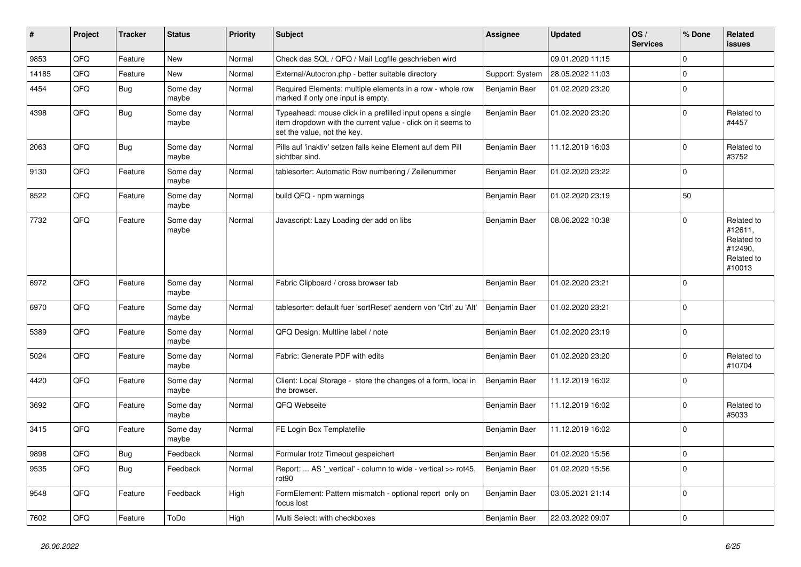| ∦     | Project | <b>Tracker</b> | <b>Status</b>     | <b>Priority</b> | <b>Subject</b>                                                                                                                                           | Assignee        | <b>Updated</b>   | OS/<br><b>Services</b> | % Done      | Related<br>issues                                                      |
|-------|---------|----------------|-------------------|-----------------|----------------------------------------------------------------------------------------------------------------------------------------------------------|-----------------|------------------|------------------------|-------------|------------------------------------------------------------------------|
| 9853  | QFQ     | Feature        | <b>New</b>        | Normal          | Check das SQL / QFQ / Mail Logfile geschrieben wird                                                                                                      |                 | 09.01.2020 11:15 |                        | $\Omega$    |                                                                        |
| 14185 | QFQ     | Feature        | <b>New</b>        | Normal          | External/Autocron.php - better suitable directory                                                                                                        | Support: System | 28.05.2022 11:03 |                        | $\Omega$    |                                                                        |
| 4454  | QFQ     | Bug            | Some day<br>maybe | Normal          | Required Elements: multiple elements in a row - whole row<br>marked if only one input is empty.                                                          | Benjamin Baer   | 01.02.2020 23:20 |                        | $\mathbf 0$ |                                                                        |
| 4398  | QFQ     | Bug            | Some day<br>maybe | Normal          | Typeahead: mouse click in a prefilled input opens a single<br>item dropdown with the current value - click on it seems to<br>set the value, not the key. | Benjamin Baer   | 01.02.2020 23:20 |                        | $\Omega$    | Related to<br>#4457                                                    |
| 2063  | QFQ     | Bug            | Some day<br>maybe | Normal          | Pills auf 'inaktiv' setzen falls keine Element auf dem Pill<br>sichtbar sind.                                                                            | Benjamin Baer   | 11.12.2019 16:03 |                        | $\Omega$    | Related to<br>#3752                                                    |
| 9130  | QFQ     | Feature        | Some day<br>maybe | Normal          | tablesorter: Automatic Row numbering / Zeilenummer                                                                                                       | Benjamin Baer   | 01.02.2020 23:22 |                        | $\mathbf 0$ |                                                                        |
| 8522  | QFQ     | Feature        | Some day<br>maybe | Normal          | build QFQ - npm warnings                                                                                                                                 | Benjamin Baer   | 01.02.2020 23:19 |                        | 50          |                                                                        |
| 7732  | QFQ     | Feature        | Some day<br>maybe | Normal          | Javascript: Lazy Loading der add on libs                                                                                                                 | Benjamin Baer   | 08.06.2022 10:38 |                        | $\Omega$    | Related to<br>#12611.<br>Related to<br>#12490,<br>Related to<br>#10013 |
| 6972  | QFQ     | Feature        | Some day<br>maybe | Normal          | Fabric Clipboard / cross browser tab                                                                                                                     | Benjamin Baer   | 01.02.2020 23:21 |                        | $\Omega$    |                                                                        |
| 6970  | QFQ     | Feature        | Some day<br>maybe | Normal          | tablesorter: default fuer 'sortReset' aendern von 'Ctrl' zu 'Alt'                                                                                        | Benjamin Baer   | 01.02.2020 23:21 |                        | $\Omega$    |                                                                        |
| 5389  | QFQ     | Feature        | Some day<br>maybe | Normal          | QFQ Design: Multline label / note                                                                                                                        | Benjamin Baer   | 01.02.2020 23:19 |                        | $\Omega$    |                                                                        |
| 5024  | QFQ     | Feature        | Some day<br>maybe | Normal          | Fabric: Generate PDF with edits                                                                                                                          | Benjamin Baer   | 01.02.2020 23:20 |                        | $\mathbf 0$ | Related to<br>#10704                                                   |
| 4420  | QFQ     | Feature        | Some day<br>maybe | Normal          | Client: Local Storage - store the changes of a form, local in<br>the browser.                                                                            | Benjamin Baer   | 11.12.2019 16:02 |                        | $\Omega$    |                                                                        |
| 3692  | QFQ     | Feature        | Some day<br>maybe | Normal          | QFQ Webseite                                                                                                                                             | Benjamin Baer   | 11.12.2019 16:02 |                        | $\Omega$    | Related to<br>#5033                                                    |
| 3415  | QFQ     | Feature        | Some day<br>maybe | Normal          | FE Login Box Templatefile                                                                                                                                | Benjamin Baer   | 11.12.2019 16:02 |                        | $\Omega$    |                                                                        |
| 9898  | QFQ     | Bug            | Feedback          | Normal          | Formular trotz Timeout gespeichert                                                                                                                       | Benjamin Baer   | 01.02.2020 15:56 |                        | 0           |                                                                        |
| 9535  | QFQ     | Bug            | Feedback          | Normal          | Report:  AS '_vertical' - column to wide - vertical >> rot45,<br>rot90                                                                                   | Benjamin Baer   | 01.02.2020 15:56 |                        | $\Omega$    |                                                                        |
| 9548  | QFQ     | Feature        | Feedback          | High            | FormElement: Pattern mismatch - optional report only on<br>focus lost                                                                                    | Benjamin Baer   | 03.05.2021 21:14 |                        | 0           |                                                                        |
| 7602  | QFQ     | Feature        | ToDo              | High            | Multi Select: with checkboxes                                                                                                                            | Benjamin Baer   | 22.03.2022 09:07 |                        | $\mathbf 0$ |                                                                        |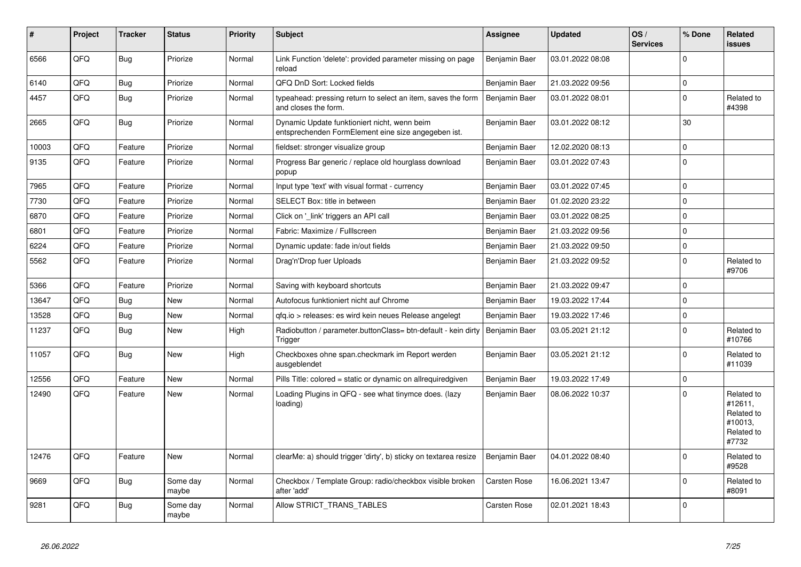| #     | Project | <b>Tracker</b> | <b>Status</b>     | <b>Priority</b> | <b>Subject</b>                                                                                      | Assignee            | <b>Updated</b>   | OS/<br><b>Services</b> | % Done      | Related<br><b>issues</b>                                              |
|-------|---------|----------------|-------------------|-----------------|-----------------------------------------------------------------------------------------------------|---------------------|------------------|------------------------|-------------|-----------------------------------------------------------------------|
| 6566  | QFQ     | <b>Bug</b>     | Priorize          | Normal          | Link Function 'delete': provided parameter missing on page<br>reload                                | Benjamin Baer       | 03.01.2022 08:08 |                        | $\Omega$    |                                                                       |
| 6140  | QFQ     | <b>Bug</b>     | Priorize          | Normal          | QFQ DnD Sort: Locked fields                                                                         | Benjamin Baer       | 21.03.2022 09:56 |                        | $\mathbf 0$ |                                                                       |
| 4457  | QFQ     | <b>Bug</b>     | Priorize          | Normal          | typeahead: pressing return to select an item, saves the form<br>and closes the form.                | Benjamin Baer       | 03.01.2022 08:01 |                        | $\Omega$    | Related to<br>#4398                                                   |
| 2665  | QFQ     | <b>Bug</b>     | Priorize          | Normal          | Dynamic Update funktioniert nicht, wenn beim<br>entsprechenden FormElement eine size angegeben ist. | Benjamin Baer       | 03.01.2022 08:12 |                        | 30          |                                                                       |
| 10003 | QFQ     | Feature        | Priorize          | Normal          | fieldset: stronger visualize group                                                                  | Benjamin Baer       | 12.02.2020 08:13 |                        | $\Omega$    |                                                                       |
| 9135  | QFQ     | Feature        | Priorize          | Normal          | Progress Bar generic / replace old hourglass download<br>popup                                      | Benjamin Baer       | 03.01.2022 07:43 |                        | $\Omega$    |                                                                       |
| 7965  | QFQ     | Feature        | Priorize          | Normal          | Input type 'text' with visual format - currency                                                     | Benjamin Baer       | 03.01.2022 07:45 |                        | $\Omega$    |                                                                       |
| 7730  | QFQ     | Feature        | Priorize          | Normal          | SELECT Box: title in between                                                                        | Benjamin Baer       | 01.02.2020 23:22 |                        | $\Omega$    |                                                                       |
| 6870  | QFQ     | Feature        | Priorize          | Normal          | Click on 'link' triggers an API call                                                                | Benjamin Baer       | 03.01.2022 08:25 |                        | $\Omega$    |                                                                       |
| 6801  | QFQ     | Feature        | Priorize          | Normal          | Fabric: Maximize / FullIscreen                                                                      | Benjamin Baer       | 21.03.2022 09:56 |                        | $\mathbf 0$ |                                                                       |
| 6224  | QFQ     | Feature        | Priorize          | Normal          | Dynamic update: fade in/out fields                                                                  | Benjamin Baer       | 21.03.2022 09:50 |                        | $\Omega$    |                                                                       |
| 5562  | QFQ     | Feature        | Priorize          | Normal          | Drag'n'Drop fuer Uploads                                                                            | Benjamin Baer       | 21.03.2022 09:52 |                        | $\Omega$    | Related to<br>#9706                                                   |
| 5366  | QFQ     | Feature        | Priorize          | Normal          | Saving with keyboard shortcuts                                                                      | Benjamin Baer       | 21.03.2022 09:47 |                        | $\Omega$    |                                                                       |
| 13647 | QFQ     | Bug            | <b>New</b>        | Normal          | Autofocus funktioniert nicht auf Chrome                                                             | Benjamin Baer       | 19.03.2022 17:44 |                        | $\Omega$    |                                                                       |
| 13528 | QFQ     | Bug            | <b>New</b>        | Normal          | gfg.io > releases: es wird kein neues Release angelegt                                              | Benjamin Baer       | 19.03.2022 17:46 |                        | $\Omega$    |                                                                       |
| 11237 | QFQ     | <b>Bug</b>     | New               | High            | Radiobutton / parameter.buttonClass= btn-default - kein dirty<br>Trigger                            | Benjamin Baer       | 03.05.2021 21:12 |                        | $\Omega$    | Related to<br>#10766                                                  |
| 11057 | QFQ     | Bug            | <b>New</b>        | High            | Checkboxes ohne span.checkmark im Report werden<br>ausgeblendet                                     | Benjamin Baer       | 03.05.2021 21:12 |                        | $\Omega$    | Related to<br>#11039                                                  |
| 12556 | QFQ     | Feature        | New               | Normal          | Pills Title: colored = static or dynamic on allrequiredgiven                                        | Benjamin Baer       | 19.03.2022 17:49 |                        | $\mathbf 0$ |                                                                       |
| 12490 | QFQ     | Feature        | <b>New</b>        | Normal          | Loading Plugins in QFQ - see what tinymce does. (lazy<br>loading)                                   | Benjamin Baer       | 08.06.2022 10:37 |                        | $\Omega$    | Related to<br>#12611,<br>Related to<br>#10013.<br>Related to<br>#7732 |
| 12476 | QFQ     | Feature        | <b>New</b>        | Normal          | clearMe: a) should trigger 'dirty', b) sticky on textarea resize                                    | Benjamin Baer       | 04.01.2022 08:40 |                        | $\Omega$    | Related to<br>#9528                                                   |
| 9669  | QFQ     | Bug            | Some day<br>maybe | Normal          | Checkbox / Template Group: radio/checkbox visible broken<br>after 'add'                             | <b>Carsten Rose</b> | 16.06.2021 13:47 |                        | $\Omega$    | Related to<br>#8091                                                   |
| 9281  | QFQ     | Bug            | Some day<br>maybe | Normal          | Allow STRICT_TRANS_TABLES                                                                           | <b>Carsten Rose</b> | 02.01.2021 18:43 |                        | $\Omega$    |                                                                       |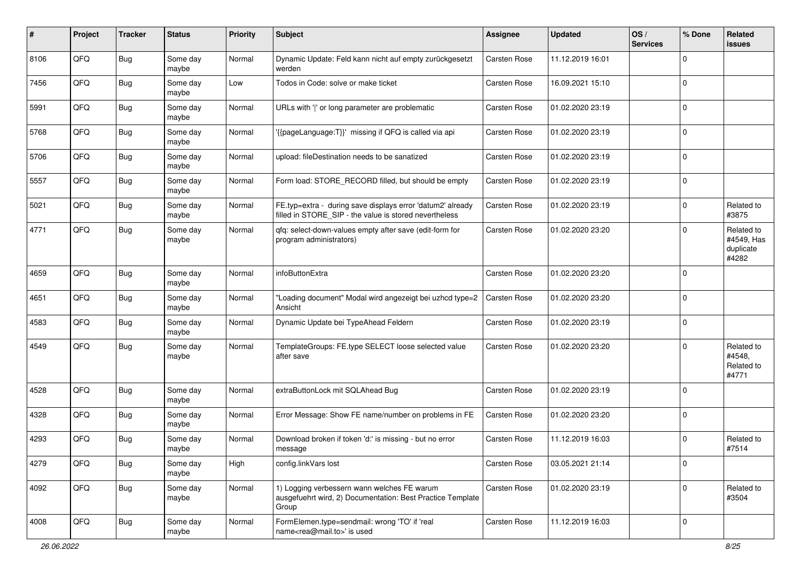| ∦    | Project | <b>Tracker</b> | <b>Status</b>     | <b>Priority</b> | <b>Subject</b>                                                                                                       | <b>Assignee</b>     | <b>Updated</b>   | OS/<br><b>Services</b> | % Done      | Related<br>issues                              |
|------|---------|----------------|-------------------|-----------------|----------------------------------------------------------------------------------------------------------------------|---------------------|------------------|------------------------|-------------|------------------------------------------------|
| 8106 | QFQ     | Bug            | Some day<br>maybe | Normal          | Dynamic Update: Feld kann nicht auf empty zurückgesetzt<br>werden                                                    | Carsten Rose        | 11.12.2019 16:01 |                        | $\Omega$    |                                                |
| 7456 | QFQ     | Bug            | Some day<br>maybe | Low             | Todos in Code: solve or make ticket                                                                                  | <b>Carsten Rose</b> | 16.09.2021 15:10 |                        | 0           |                                                |
| 5991 | QFQ     | Bug            | Some day<br>maybe | Normal          | URLs with ' ' or long parameter are problematic                                                                      | <b>Carsten Rose</b> | 01.02.2020 23:19 |                        | $\Omega$    |                                                |
| 5768 | QFQ     | Bug            | Some day<br>maybe | Normal          | '{{pageLanguage:T}}' missing if QFQ is called via api                                                                | <b>Carsten Rose</b> | 01.02.2020 23:19 |                        | 0           |                                                |
| 5706 | QFQ     | <b>Bug</b>     | Some day<br>maybe | Normal          | upload: fileDestination needs to be sanatized                                                                        | <b>Carsten Rose</b> | 01.02.2020 23:19 |                        | $\mathbf 0$ |                                                |
| 5557 | QFQ     | Bug            | Some day<br>maybe | Normal          | Form load: STORE_RECORD filled, but should be empty                                                                  | <b>Carsten Rose</b> | 01.02.2020 23:19 |                        | $\Omega$    |                                                |
| 5021 | QFQ     | Bug            | Some day<br>maybe | Normal          | FE.typ=extra - during save displays error 'datum2' already<br>filled in STORE_SIP - the value is stored nevertheless | <b>Carsten Rose</b> | 01.02.2020 23:19 |                        | $\Omega$    | Related to<br>#3875                            |
| 4771 | QFQ     | Bug            | Some day<br>maybe | Normal          | qfq: select-down-values empty after save (edit-form for<br>program administrators)                                   | <b>Carsten Rose</b> | 01.02.2020 23:20 |                        | $\Omega$    | Related to<br>#4549, Has<br>duplicate<br>#4282 |
| 4659 | QFQ     | <b>Bug</b>     | Some day<br>maybe | Normal          | infoButtonExtra                                                                                                      | <b>Carsten Rose</b> | 01.02.2020 23:20 |                        | $\Omega$    |                                                |
| 4651 | QFQ     | Bug            | Some day<br>maybe | Normal          | "Loading document" Modal wird angezeigt bei uzhcd type=2<br>Ansicht                                                  | Carsten Rose        | 01.02.2020 23:20 |                        | $\mathbf 0$ |                                                |
| 4583 | QFQ     | Bug            | Some day<br>maybe | Normal          | Dynamic Update bei TypeAhead Feldern                                                                                 | <b>Carsten Rose</b> | 01.02.2020 23:19 |                        | 0           |                                                |
| 4549 | QFQ     | Bug            | Some day<br>maybe | Normal          | TemplateGroups: FE.type SELECT loose selected value<br>after save                                                    | <b>Carsten Rose</b> | 01.02.2020 23:20 |                        | $\Omega$    | Related to<br>#4548,<br>Related to<br>#4771    |
| 4528 | QFQ     | Bug            | Some day<br>maybe | Normal          | extraButtonLock mit SQLAhead Bug                                                                                     | <b>Carsten Rose</b> | 01.02.2020 23:19 |                        | $\mathbf 0$ |                                                |
| 4328 | QFQ     | Bug            | Some day<br>maybe | Normal          | Error Message: Show FE name/number on problems in FE                                                                 | <b>Carsten Rose</b> | 01.02.2020 23:20 |                        | 0           |                                                |
| 4293 | QFQ     | Bug            | Some day<br>maybe | Normal          | Download broken if token 'd:' is missing - but no error<br>message                                                   | <b>Carsten Rose</b> | 11.12.2019 16:03 |                        | $\Omega$    | Related to<br>#7514                            |
| 4279 | QFQ     | <b>Bug</b>     | Some day<br>maybe | High            | config.linkVars lost                                                                                                 | Carsten Rose        | 03.05.2021 21:14 |                        | 0           |                                                |
| 4092 | QFG     | Bug            | Some day<br>maybe | Normal          | 1) Logging verbessern wann welches FE warum<br>ausgefuehrt wird, 2) Documentation: Best Practice Template<br>Group   | Carsten Rose        | 01.02.2020 23:19 |                        | 0           | Related to<br>#3504                            |
| 4008 | QFQ     | <b>Bug</b>     | Some day<br>maybe | Normal          | FormElemen.type=sendmail: wrong 'TO' if 'real<br>name <rea@mail.to>' is used</rea@mail.to>                           | Carsten Rose        | 11.12.2019 16:03 |                        | 0           |                                                |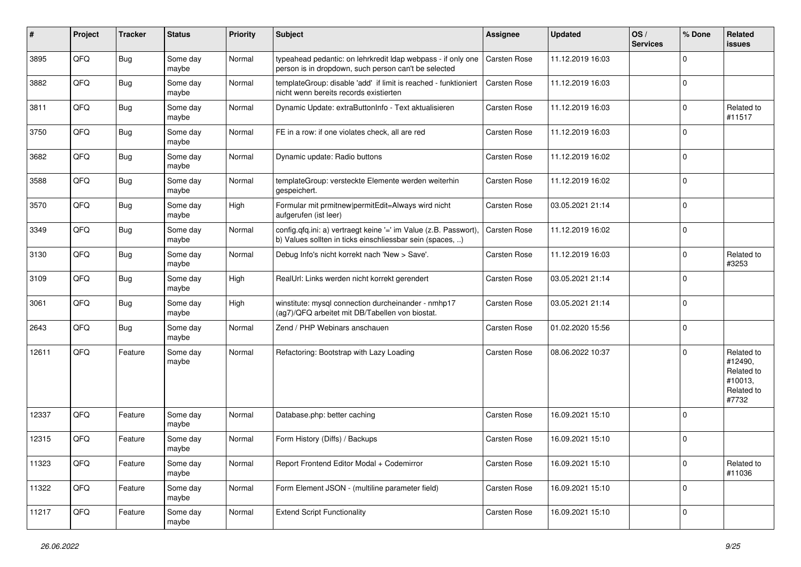| ∦     | Project | <b>Tracker</b> | <b>Status</b>     | <b>Priority</b> | <b>Subject</b>                                                                                                                | <b>Assignee</b>     | <b>Updated</b>   | OS/<br><b>Services</b> | % Done      | Related<br>issues                                                     |
|-------|---------|----------------|-------------------|-----------------|-------------------------------------------------------------------------------------------------------------------------------|---------------------|------------------|------------------------|-------------|-----------------------------------------------------------------------|
| 3895  | QFQ     | Bug            | Some day<br>maybe | Normal          | typeahead pedantic: on lehrkredit ldap webpass - if only one<br>person is in dropdown, such person can't be selected          | Carsten Rose        | 11.12.2019 16:03 |                        | $\Omega$    |                                                                       |
| 3882  | QFQ     | Bug            | Some day<br>maybe | Normal          | templateGroup: disable 'add' if limit is reached - funktioniert<br>nicht wenn bereits records existierten                     | <b>Carsten Rose</b> | 11.12.2019 16:03 |                        | $\Omega$    |                                                                       |
| 3811  | QFQ     | Bug            | Some day<br>maybe | Normal          | Dynamic Update: extraButtonInfo - Text aktualisieren                                                                          | <b>Carsten Rose</b> | 11.12.2019 16:03 |                        | 0           | Related to<br>#11517                                                  |
| 3750  | QFQ     | Bug            | Some day<br>maybe | Normal          | FE in a row: if one violates check, all are red                                                                               | <b>Carsten Rose</b> | 11.12.2019 16:03 |                        | $\Omega$    |                                                                       |
| 3682  | QFQ     | Bug            | Some day<br>maybe | Normal          | Dynamic update: Radio buttons                                                                                                 | <b>Carsten Rose</b> | 11.12.2019 16:02 |                        | $\Omega$    |                                                                       |
| 3588  | QFQ     | Bug            | Some day<br>maybe | Normal          | templateGroup: versteckte Elemente werden weiterhin<br>gespeichert.                                                           | <b>Carsten Rose</b> | 11.12.2019 16:02 |                        | $\Omega$    |                                                                       |
| 3570  | QFQ     | Bug            | Some day<br>maybe | High            | Formular mit prmitnew permitEdit=Always wird nicht<br>aufgerufen (ist leer)                                                   | <b>Carsten Rose</b> | 03.05.2021 21:14 |                        | $\mathbf 0$ |                                                                       |
| 3349  | QFQ     | Bug            | Some day<br>maybe | Normal          | config.qfq.ini: a) vertraegt keine '=' im Value (z.B. Passwort).<br>b) Values sollten in ticks einschliessbar sein (spaces, ) | <b>Carsten Rose</b> | 11.12.2019 16:02 |                        | $\mathbf 0$ |                                                                       |
| 3130  | QFQ     | Bug            | Some day<br>maybe | Normal          | Debug Info's nicht korrekt nach 'New > Save'.                                                                                 | <b>Carsten Rose</b> | 11.12.2019 16:03 |                        | $\Omega$    | Related to<br>#3253                                                   |
| 3109  | QFQ     | Bug            | Some day<br>maybe | High            | RealUrl: Links werden nicht korrekt gerendert                                                                                 | <b>Carsten Rose</b> | 03.05.2021 21:14 |                        | $\Omega$    |                                                                       |
| 3061  | QFQ     | <b>Bug</b>     | Some day<br>maybe | High            | winstitute: mysql connection durcheinander - nmhp17<br>(ag7)/QFQ arbeitet mit DB/Tabellen von biostat.                        | <b>Carsten Rose</b> | 03.05.2021 21:14 |                        | $\Omega$    |                                                                       |
| 2643  | QFQ     | Bug            | Some day<br>maybe | Normal          | Zend / PHP Webinars anschauen                                                                                                 | Carsten Rose        | 01.02.2020 15:56 |                        | $\Omega$    |                                                                       |
| 12611 | QFQ     | Feature        | Some day<br>maybe | Normal          | Refactoring: Bootstrap with Lazy Loading                                                                                      | <b>Carsten Rose</b> | 08.06.2022 10:37 |                        | $\Omega$    | Related to<br>#12490,<br>Related to<br>#10013,<br>Related to<br>#7732 |
| 12337 | QFQ     | Feature        | Some day<br>maybe | Normal          | Database.php: better caching                                                                                                  | <b>Carsten Rose</b> | 16.09.2021 15:10 |                        | $\Omega$    |                                                                       |
| 12315 | QFQ     | Feature        | Some day<br>maybe | Normal          | Form History (Diffs) / Backups                                                                                                | Carsten Rose        | 16.09.2021 15:10 |                        | $\Omega$    |                                                                       |
| 11323 | QFQ     | Feature        | Some day<br>maybe | Normal          | Report Frontend Editor Modal + Codemirror                                                                                     | Carsten Rose        | 16.09.2021 15:10 |                        | $\mathbf 0$ | Related to<br>#11036                                                  |
| 11322 | QFQ     | Feature        | Some day<br>maybe | Normal          | Form Element JSON - (multiline parameter field)                                                                               | Carsten Rose        | 16.09.2021 15:10 |                        | 0           |                                                                       |
| 11217 | QFQ     | Feature        | Some day<br>maybe | Normal          | <b>Extend Script Functionality</b>                                                                                            | Carsten Rose        | 16.09.2021 15:10 |                        | 0           |                                                                       |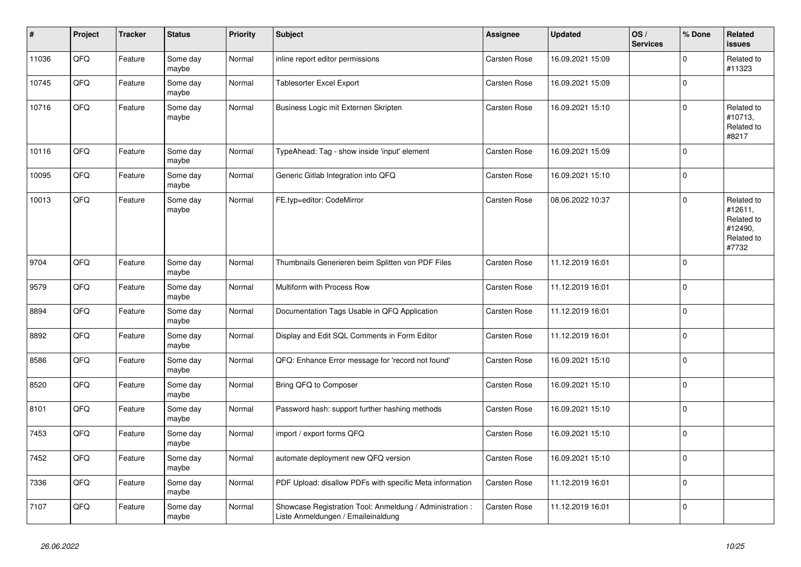| $\sharp$ | Project | <b>Tracker</b> | <b>Status</b>     | <b>Priority</b> | <b>Subject</b>                                                                                 | <b>Assignee</b>     | <b>Updated</b>   | OS/<br><b>Services</b> | % Done      | Related<br><b>issues</b>                                              |
|----------|---------|----------------|-------------------|-----------------|------------------------------------------------------------------------------------------------|---------------------|------------------|------------------------|-------------|-----------------------------------------------------------------------|
| 11036    | QFQ     | Feature        | Some day<br>maybe | Normal          | inline report editor permissions                                                               | <b>Carsten Rose</b> | 16.09.2021 15:09 |                        | $\Omega$    | Related to<br>#11323                                                  |
| 10745    | QFQ     | Feature        | Some day<br>maybe | Normal          | <b>Tablesorter Excel Export</b>                                                                | <b>Carsten Rose</b> | 16.09.2021 15:09 |                        | 0           |                                                                       |
| 10716    | QFQ     | Feature        | Some day<br>maybe | Normal          | Business Logic mit Externen Skripten                                                           | Carsten Rose        | 16.09.2021 15:10 |                        | $\Omega$    | Related to<br>#10713,<br>Related to<br>#8217                          |
| 10116    | QFQ     | Feature        | Some day<br>maybe | Normal          | TypeAhead: Tag - show inside 'input' element                                                   | Carsten Rose        | 16.09.2021 15:09 |                        | $\Omega$    |                                                                       |
| 10095    | QFQ     | Feature        | Some day<br>maybe | Normal          | Generic Gitlab Integration into QFQ                                                            | <b>Carsten Rose</b> | 16.09.2021 15:10 |                        | $\Omega$    |                                                                       |
| 10013    | QFQ     | Feature        | Some day<br>maybe | Normal          | FE.typ=editor: CodeMirror                                                                      | <b>Carsten Rose</b> | 08.06.2022 10:37 |                        | $\mathbf 0$ | Related to<br>#12611,<br>Related to<br>#12490,<br>Related to<br>#7732 |
| 9704     | QFQ     | Feature        | Some day<br>maybe | Normal          | Thumbnails Generieren beim Splitten von PDF Files                                              | <b>Carsten Rose</b> | 11.12.2019 16:01 |                        | $\mathbf 0$ |                                                                       |
| 9579     | QFQ     | Feature        | Some day<br>maybe | Normal          | Multiform with Process Row                                                                     | Carsten Rose        | 11.12.2019 16:01 |                        | $\Omega$    |                                                                       |
| 8894     | QFQ     | Feature        | Some day<br>maybe | Normal          | Documentation Tags Usable in QFQ Application                                                   | <b>Carsten Rose</b> | 11.12.2019 16:01 |                        | $\Omega$    |                                                                       |
| 8892     | QFQ     | Feature        | Some day<br>maybe | Normal          | Display and Edit SQL Comments in Form Editor                                                   | <b>Carsten Rose</b> | 11.12.2019 16:01 |                        | 0           |                                                                       |
| 8586     | QFQ     | Feature        | Some day<br>maybe | Normal          | QFQ: Enhance Error message for 'record not found'                                              | Carsten Rose        | 16.09.2021 15:10 |                        | $\Omega$    |                                                                       |
| 8520     | QFQ     | Feature        | Some day<br>maybe | Normal          | Bring QFQ to Composer                                                                          | <b>Carsten Rose</b> | 16.09.2021 15:10 |                        | $\mathbf 0$ |                                                                       |
| 8101     | QFQ     | Feature        | Some day<br>maybe | Normal          | Password hash: support further hashing methods                                                 | Carsten Rose        | 16.09.2021 15:10 |                        | $\Omega$    |                                                                       |
| 7453     | QFQ     | Feature        | Some day<br>maybe | Normal          | import / export forms QFQ                                                                      | <b>Carsten Rose</b> | 16.09.2021 15:10 |                        | $\Omega$    |                                                                       |
| 7452     | QFQ     | Feature        | Some day<br>maybe | Normal          | automate deployment new QFQ version                                                            | Carsten Rose        | 16.09.2021 15:10 |                        | $\Omega$    |                                                                       |
| 7336     | QFQ     | Feature        | Some day<br>maybe | Normal          | PDF Upload: disallow PDFs with specific Meta information                                       | Carsten Rose        | 11.12.2019 16:01 |                        | $\Omega$    |                                                                       |
| 7107     | QFQ     | Feature        | Some day<br>maybe | Normal          | Showcase Registration Tool: Anmeldung / Administration :<br>Liste Anmeldungen / Emaileinaldung | <b>Carsten Rose</b> | 11.12.2019 16:01 |                        | $\mathbf 0$ |                                                                       |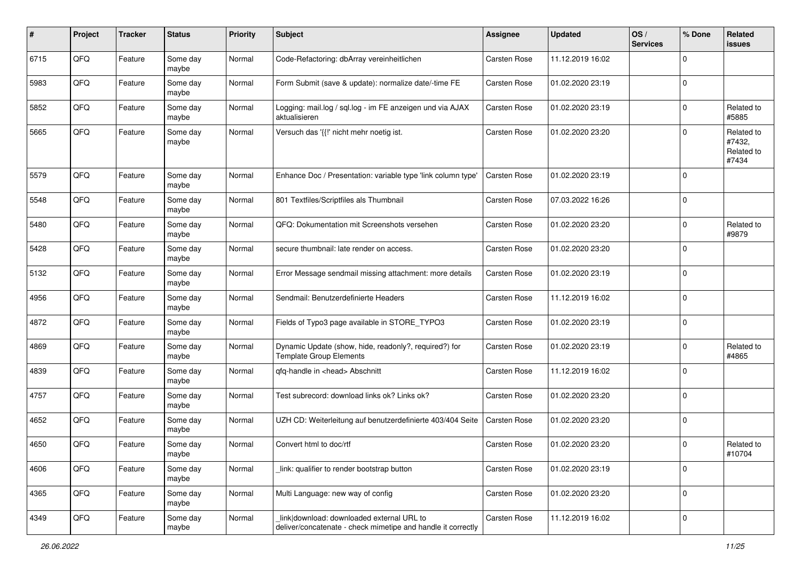| #    | Project | <b>Tracker</b> | <b>Status</b>     | <b>Priority</b> | Subject                                                                                                   | Assignee            | <b>Updated</b>   | OS/<br><b>Services</b> | % Done      | Related<br>issues                           |
|------|---------|----------------|-------------------|-----------------|-----------------------------------------------------------------------------------------------------------|---------------------|------------------|------------------------|-------------|---------------------------------------------|
| 6715 | QFQ     | Feature        | Some day<br>maybe | Normal          | Code-Refactoring: dbArray vereinheitlichen                                                                | Carsten Rose        | 11.12.2019 16:02 |                        | $\Omega$    |                                             |
| 5983 | QFQ     | Feature        | Some day<br>maybe | Normal          | Form Submit (save & update): normalize date/-time FE                                                      | <b>Carsten Rose</b> | 01.02.2020 23:19 |                        | $\mathbf 0$ |                                             |
| 5852 | QFQ     | Feature        | Some day<br>maybe | Normal          | Logging: mail.log / sql.log - im FE anzeigen und via AJAX<br>aktualisieren                                | <b>Carsten Rose</b> | 01.02.2020 23:19 |                        | $\Omega$    | Related to<br>#5885                         |
| 5665 | QFQ     | Feature        | Some day<br>maybe | Normal          | Versuch das '{{!' nicht mehr noetig ist.                                                                  | <b>Carsten Rose</b> | 01.02.2020 23:20 |                        | $\Omega$    | Related to<br>#7432,<br>Related to<br>#7434 |
| 5579 | QFQ     | Feature        | Some day<br>maybe | Normal          | Enhance Doc / Presentation: variable type 'link column type'                                              | Carsten Rose        | 01.02.2020 23:19 |                        | $\Omega$    |                                             |
| 5548 | QFQ     | Feature        | Some day<br>maybe | Normal          | 801 Textfiles/Scriptfiles als Thumbnail                                                                   | Carsten Rose        | 07.03.2022 16:26 |                        | $\mathbf 0$ |                                             |
| 5480 | QFQ     | Feature        | Some day<br>maybe | Normal          | QFQ: Dokumentation mit Screenshots versehen                                                               | <b>Carsten Rose</b> | 01.02.2020 23:20 |                        | $\mathbf 0$ | Related to<br>#9879                         |
| 5428 | QFQ     | Feature        | Some day<br>maybe | Normal          | secure thumbnail: late render on access.                                                                  | <b>Carsten Rose</b> | 01.02.2020 23:20 |                        | $\Omega$    |                                             |
| 5132 | QFQ     | Feature        | Some day<br>maybe | Normal          | Error Message sendmail missing attachment: more details                                                   | <b>Carsten Rose</b> | 01.02.2020 23:19 |                        | $\Omega$    |                                             |
| 4956 | QFQ     | Feature        | Some day<br>maybe | Normal          | Sendmail: Benutzerdefinierte Headers                                                                      | Carsten Rose        | 11.12.2019 16:02 |                        | $\mathbf 0$ |                                             |
| 4872 | QFQ     | Feature        | Some day<br>maybe | Normal          | Fields of Typo3 page available in STORE_TYPO3                                                             | Carsten Rose        | 01.02.2020 23:19 |                        | 0           |                                             |
| 4869 | QFQ     | Feature        | Some day<br>maybe | Normal          | Dynamic Update (show, hide, readonly?, required?) for<br><b>Template Group Elements</b>                   | Carsten Rose        | 01.02.2020 23:19 |                        | $\Omega$    | Related to<br>#4865                         |
| 4839 | QFQ     | Feature        | Some day<br>maybe | Normal          | qfq-handle in <head> Abschnitt</head>                                                                     | Carsten Rose        | 11.12.2019 16:02 |                        | $\Omega$    |                                             |
| 4757 | QFQ     | Feature        | Some day<br>maybe | Normal          | Test subrecord: download links ok? Links ok?                                                              | Carsten Rose        | 01.02.2020 23:20 |                        | $\Omega$    |                                             |
| 4652 | QFQ     | Feature        | Some day<br>maybe | Normal          | UZH CD: Weiterleitung auf benutzerdefinierte 403/404 Seite                                                | Carsten Rose        | 01.02.2020 23:20 |                        | $\Omega$    |                                             |
| 4650 | QFQ     | Feature        | Some day<br>maybe | Normal          | Convert html to doc/rtf                                                                                   | Carsten Rose        | 01.02.2020 23:20 |                        | $\Omega$    | Related to<br>#10704                        |
| 4606 | QFQ     | Feature        | Some day<br>maybe | Normal          | link: qualifier to render bootstrap button                                                                | Carsten Rose        | 01.02.2020 23:19 |                        | $\mathbf 0$ |                                             |
| 4365 | QFQ     | Feature        | Some day<br>maybe | Normal          | Multi Language: new way of config                                                                         | Carsten Rose        | 01.02.2020 23:20 |                        | $\mathbf 0$ |                                             |
| 4349 | QFQ     | Feature        | Some day<br>maybe | Normal          | link download: downloaded external URL to<br>deliver/concatenate - check mimetipe and handle it correctly | Carsten Rose        | 11.12.2019 16:02 |                        | $\mathbf 0$ |                                             |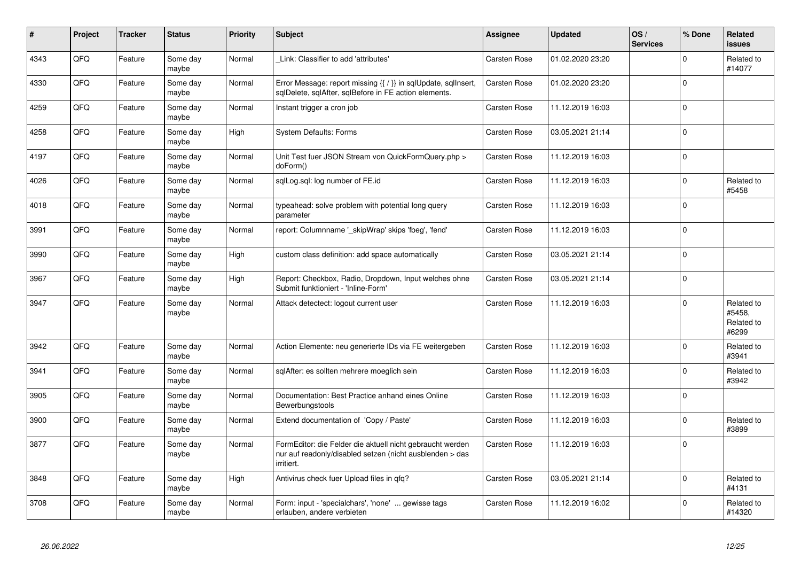| $\vert$ # | Project | <b>Tracker</b> | <b>Status</b>     | <b>Priority</b> | <b>Subject</b>                                                                                                                      | Assignee            | <b>Updated</b>   | OS/<br><b>Services</b> | % Done      | Related<br><b>issues</b>                    |
|-----------|---------|----------------|-------------------|-----------------|-------------------------------------------------------------------------------------------------------------------------------------|---------------------|------------------|------------------------|-------------|---------------------------------------------|
| 4343      | QFQ     | Feature        | Some day<br>maybe | Normal          | Link: Classifier to add 'attributes'                                                                                                | Carsten Rose        | 01.02.2020 23:20 |                        | $\Omega$    | Related to<br>#14077                        |
| 4330      | QFQ     | Feature        | Some day<br>maybe | Normal          | Error Message: report missing {{ / }} in sqlUpdate, sqlInsert,<br>sglDelete, sglAfter, sglBefore in FE action elements.             | <b>Carsten Rose</b> | 01.02.2020 23:20 |                        | $\Omega$    |                                             |
| 4259      | QFQ     | Feature        | Some day<br>maybe | Normal          | Instant trigger a cron job                                                                                                          | Carsten Rose        | 11.12.2019 16:03 |                        | $\Omega$    |                                             |
| 4258      | QFQ     | Feature        | Some day<br>maybe | High            | <b>System Defaults: Forms</b>                                                                                                       | Carsten Rose        | 03.05.2021 21:14 |                        | $\Omega$    |                                             |
| 4197      | QFQ     | Feature        | Some day<br>maybe | Normal          | Unit Test fuer JSON Stream von QuickFormQuery.php ><br>doForm()                                                                     | <b>Carsten Rose</b> | 11.12.2019 16:03 |                        | $\mathbf 0$ |                                             |
| 4026      | QFQ     | Feature        | Some day<br>maybe | Normal          | sqlLog.sql: log number of FE.id                                                                                                     | <b>Carsten Rose</b> | 11.12.2019 16:03 |                        | $\Omega$    | Related to<br>#5458                         |
| 4018      | QFQ     | Feature        | Some day<br>maybe | Normal          | typeahead: solve problem with potential long query<br>parameter                                                                     | <b>Carsten Rose</b> | 11.12.2019 16:03 |                        | $\Omega$    |                                             |
| 3991      | QFQ     | Feature        | Some day<br>maybe | Normal          | report: Columnname '_skipWrap' skips 'fbeg', 'fend'                                                                                 | Carsten Rose        | 11.12.2019 16:03 |                        | $\Omega$    |                                             |
| 3990      | QFQ     | Feature        | Some day<br>maybe | High            | custom class definition: add space automatically                                                                                    | <b>Carsten Rose</b> | 03.05.2021 21:14 |                        | $\Omega$    |                                             |
| 3967      | QFQ     | Feature        | Some day<br>maybe | High            | Report: Checkbox, Radio, Dropdown, Input welches ohne<br>Submit funktioniert - 'Inline-Form'                                        | <b>Carsten Rose</b> | 03.05.2021 21:14 |                        | $\mathbf 0$ |                                             |
| 3947      | QFQ     | Feature        | Some day<br>maybe | Normal          | Attack detectect: logout current user                                                                                               | <b>Carsten Rose</b> | 11.12.2019 16:03 |                        | $\Omega$    | Related to<br>#5458,<br>Related to<br>#6299 |
| 3942      | QFQ     | Feature        | Some day<br>maybe | Normal          | Action Elemente: neu generierte IDs via FE weitergeben                                                                              | Carsten Rose        | 11.12.2019 16:03 |                        | $\Omega$    | Related to<br>#3941                         |
| 3941      | QFQ     | Feature        | Some day<br>maybe | Normal          | sqlAfter: es sollten mehrere moeglich sein                                                                                          | <b>Carsten Rose</b> | 11.12.2019 16:03 |                        | $\Omega$    | Related to<br>#3942                         |
| 3905      | QFQ     | Feature        | Some day<br>maybe | Normal          | Documentation: Best Practice anhand eines Online<br>Bewerbungstools                                                                 | <b>Carsten Rose</b> | 11.12.2019 16:03 |                        | $\Omega$    |                                             |
| 3900      | QFQ     | Feature        | Some day<br>maybe | Normal          | Extend documentation of 'Copy / Paste'                                                                                              | <b>Carsten Rose</b> | 11.12.2019 16:03 |                        | $\Omega$    | Related to<br>#3899                         |
| 3877      | QFQ     | Feature        | Some day<br>maybe | Normal          | FormEditor: die Felder die aktuell nicht gebraucht werden<br>nur auf readonly/disabled setzen (nicht ausblenden > das<br>irritiert. | <b>Carsten Rose</b> | 11.12.2019 16:03 |                        | $\Omega$    |                                             |
| 3848      | QFQ     | Feature        | Some day<br>maybe | High            | Antivirus check fuer Upload files in qfq?                                                                                           | Carsten Rose        | 03.05.2021 21:14 |                        | $\mathbf 0$ | Related to<br>#4131                         |
| 3708      | QFQ     | Feature        | Some day<br>maybe | Normal          | Form: input - 'specialchars', 'none'  gewisse tags<br>erlauben, andere verbieten                                                    | <b>Carsten Rose</b> | 11.12.2019 16:02 |                        | $\Omega$    | Related to<br>#14320                        |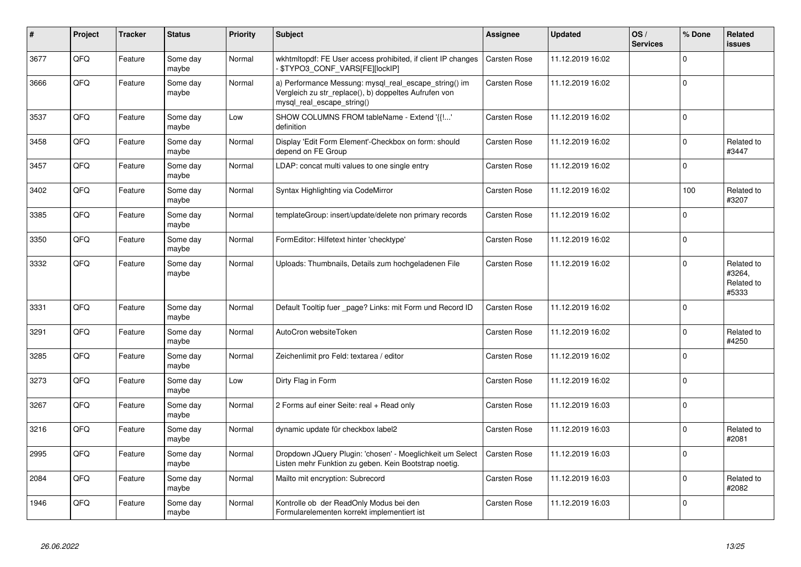| #    | Project | <b>Tracker</b> | <b>Status</b>     | <b>Priority</b> | <b>Subject</b>                                                                                                                               | Assignee            | <b>Updated</b>   | OS/<br><b>Services</b> | % Done   | Related<br>issues                           |
|------|---------|----------------|-------------------|-----------------|----------------------------------------------------------------------------------------------------------------------------------------------|---------------------|------------------|------------------------|----------|---------------------------------------------|
| 3677 | QFQ     | Feature        | Some day<br>maybe | Normal          | wkhtmltopdf: FE User access prohibited, if client IP changes<br>- \$TYPO3_CONF_VARS[FE][lockIP]                                              | <b>Carsten Rose</b> | 11.12.2019 16:02 |                        | $\Omega$ |                                             |
| 3666 | QFQ     | Feature        | Some day<br>maybe | Normal          | a) Performance Messung: mysql_real_escape_string() im<br>Vergleich zu str_replace(), b) doppeltes Aufrufen von<br>mysql real escape string() | <b>Carsten Rose</b> | 11.12.2019 16:02 |                        | $\Omega$ |                                             |
| 3537 | QFQ     | Feature        | Some day<br>maybe | Low             | SHOW COLUMNS FROM tableName - Extend '{{'<br>definition                                                                                      | <b>Carsten Rose</b> | 11.12.2019 16:02 |                        | $\Omega$ |                                             |
| 3458 | QFQ     | Feature        | Some day<br>maybe | Normal          | Display 'Edit Form Element'-Checkbox on form: should<br>depend on FE Group                                                                   | <b>Carsten Rose</b> | 11.12.2019 16:02 |                        | $\Omega$ | Related to<br>#3447                         |
| 3457 | QFQ     | Feature        | Some day<br>maybe | Normal          | LDAP: concat multi values to one single entry                                                                                                | <b>Carsten Rose</b> | 11.12.2019 16:02 |                        | $\Omega$ |                                             |
| 3402 | QFQ     | Feature        | Some day<br>maybe | Normal          | Syntax Highlighting via CodeMirror                                                                                                           | <b>Carsten Rose</b> | 11.12.2019 16:02 |                        | 100      | Related to<br>#3207                         |
| 3385 | QFQ     | Feature        | Some day<br>maybe | Normal          | templateGroup: insert/update/delete non primary records                                                                                      | <b>Carsten Rose</b> | 11.12.2019 16:02 |                        | $\Omega$ |                                             |
| 3350 | QFQ     | Feature        | Some day<br>maybe | Normal          | FormEditor: Hilfetext hinter 'checktype'                                                                                                     | Carsten Rose        | 11.12.2019 16:02 |                        | $\Omega$ |                                             |
| 3332 | QFQ     | Feature        | Some day<br>maybe | Normal          | Uploads: Thumbnails, Details zum hochgeladenen File                                                                                          | <b>Carsten Rose</b> | 11.12.2019 16:02 |                        | $\Omega$ | Related to<br>#3264,<br>Related to<br>#5333 |
| 3331 | QFQ     | Feature        | Some day<br>maybe | Normal          | Default Tooltip fuer page? Links: mit Form und Record ID                                                                                     | <b>Carsten Rose</b> | 11.12.2019 16:02 |                        | $\Omega$ |                                             |
| 3291 | QFQ     | Feature        | Some day<br>maybe | Normal          | AutoCron websiteToken                                                                                                                        | <b>Carsten Rose</b> | 11.12.2019 16:02 |                        | $\Omega$ | Related to<br>#4250                         |
| 3285 | QFQ     | Feature        | Some day<br>maybe | Normal          | Zeichenlimit pro Feld: textarea / editor                                                                                                     | <b>Carsten Rose</b> | 11.12.2019 16:02 |                        | $\Omega$ |                                             |
| 3273 | QFQ     | Feature        | Some day<br>maybe | Low             | Dirty Flag in Form                                                                                                                           | <b>Carsten Rose</b> | 11.12.2019 16:02 |                        | $\Omega$ |                                             |
| 3267 | QFQ     | Feature        | Some day<br>maybe | Normal          | 2 Forms auf einer Seite: real + Read only                                                                                                    | Carsten Rose        | 11.12.2019 16:03 |                        | $\Omega$ |                                             |
| 3216 | QFQ     | Feature        | Some day<br>maybe | Normal          | dynamic update für checkbox label2                                                                                                           | <b>Carsten Rose</b> | 11.12.2019 16:03 |                        | $\Omega$ | Related to<br>#2081                         |
| 2995 | QFQ     | Feature        | Some day<br>maybe | Normal          | Dropdown JQuery Plugin: 'chosen' - Moeglichkeit um Select<br>Listen mehr Funktion zu geben. Kein Bootstrap noetig.                           | <b>Carsten Rose</b> | 11.12.2019 16:03 |                        | $\Omega$ |                                             |
| 2084 | QFQ     | Feature        | Some day<br>maybe | Normal          | Mailto mit encryption: Subrecord                                                                                                             | <b>Carsten Rose</b> | 11.12.2019 16:03 |                        | $\Omega$ | Related to<br>#2082                         |
| 1946 | QFQ     | Feature        | Some day<br>maybe | Normal          | Kontrolle ob der ReadOnly Modus bei den<br>Formularelementen korrekt implementiert ist                                                       | <b>Carsten Rose</b> | 11.12.2019 16:03 |                        | $\Omega$ |                                             |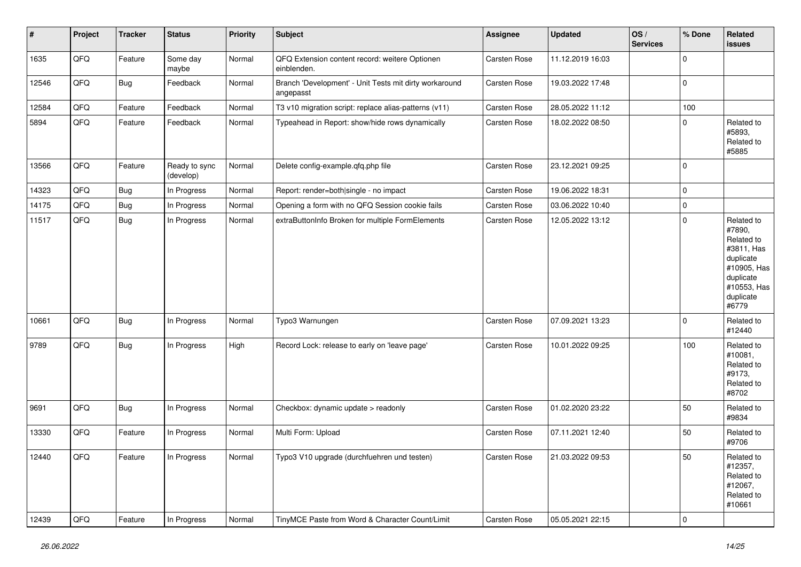| $\vert$ # | Project | <b>Tracker</b> | <b>Status</b>              | <b>Priority</b> | <b>Subject</b>                                                      | Assignee            | <b>Updated</b>   | OS/<br><b>Services</b> | % Done      | Related<br><b>issues</b>                                                                                                       |
|-----------|---------|----------------|----------------------------|-----------------|---------------------------------------------------------------------|---------------------|------------------|------------------------|-------------|--------------------------------------------------------------------------------------------------------------------------------|
| 1635      | QFQ     | Feature        | Some day<br>maybe          | Normal          | QFQ Extension content record: weitere Optionen<br>einblenden.       | Carsten Rose        | 11.12.2019 16:03 |                        | $\mathbf 0$ |                                                                                                                                |
| 12546     | QFQ     | Bug            | Feedback                   | Normal          | Branch 'Development' - Unit Tests mit dirty workaround<br>angepasst | Carsten Rose        | 19.03.2022 17:48 |                        | $\pmb{0}$   |                                                                                                                                |
| 12584     | QFQ     | Feature        | Feedback                   | Normal          | T3 v10 migration script: replace alias-patterns (v11)               | Carsten Rose        | 28.05.2022 11:12 |                        | 100         |                                                                                                                                |
| 5894      | QFQ     | Feature        | Feedback                   | Normal          | Typeahead in Report: show/hide rows dynamically                     | Carsten Rose        | 18.02.2022 08:50 |                        | $\mathbf 0$ | Related to<br>#5893,<br>Related to<br>#5885                                                                                    |
| 13566     | QFQ     | Feature        | Ready to sync<br>(develop) | Normal          | Delete config-example.qfq.php file                                  | <b>Carsten Rose</b> | 23.12.2021 09:25 |                        | $\mathbf 0$ |                                                                                                                                |
| 14323     | QFQ     | Bug            | In Progress                | Normal          | Report: render=both single - no impact                              | Carsten Rose        | 19.06.2022 18:31 |                        | $\pmb{0}$   |                                                                                                                                |
| 14175     | QFQ     | Bug            | In Progress                | Normal          | Opening a form with no QFQ Session cookie fails                     | Carsten Rose        | 03.06.2022 10:40 |                        | $\mathbf 0$ |                                                                                                                                |
| 11517     | QFQ     | <b>Bug</b>     | In Progress                | Normal          | extraButtonInfo Broken for multiple FormElements                    | Carsten Rose        | 12.05.2022 13:12 |                        | $\mathbf 0$ | Related to<br>#7890,<br>Related to<br>#3811, Has<br>duplicate<br>#10905, Has<br>duplicate<br>#10553, Has<br>duplicate<br>#6779 |
| 10661     | QFQ     | Bug            | In Progress                | Normal          | Typo3 Warnungen                                                     | Carsten Rose        | 07.09.2021 13:23 |                        | $\mathbf 0$ | Related to<br>#12440                                                                                                           |
| 9789      | QFQ     | Bug            | In Progress                | High            | Record Lock: release to early on 'leave page'                       | Carsten Rose        | 10.01.2022 09:25 |                        | 100         | Related to<br>#10081,<br>Related to<br>#9173,<br>Related to<br>#8702                                                           |
| 9691      | QFQ     | <b>Bug</b>     | In Progress                | Normal          | Checkbox: dynamic update > readonly                                 | Carsten Rose        | 01.02.2020 23:22 |                        | 50          | Related to<br>#9834                                                                                                            |
| 13330     | QFQ     | Feature        | In Progress                | Normal          | Multi Form: Upload                                                  | Carsten Rose        | 07.11.2021 12:40 |                        | 50          | Related to<br>#9706                                                                                                            |
| 12440     | QFQ     | Feature        | In Progress                | Normal          | Typo3 V10 upgrade (durchfuehren und testen)                         | Carsten Rose        | 21.03.2022 09:53 |                        | 50          | Related to<br>#12357,<br>Related to<br>#12067,<br>Related to<br>#10661                                                         |
| 12439     | QFQ     | Feature        | In Progress                | Normal          | TinyMCE Paste from Word & Character Count/Limit                     | Carsten Rose        | 05.05.2021 22:15 |                        | $\pmb{0}$   |                                                                                                                                |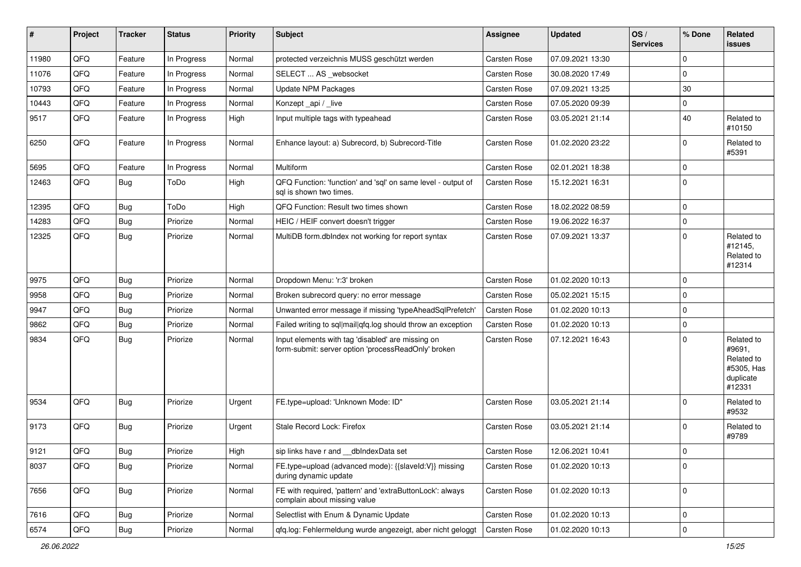| ∦     | Project        | <b>Tracker</b> | <b>Status</b> | <b>Priority</b> | <b>Subject</b>                                                                                           | <b>Assignee</b>     | <b>Updated</b>   | OS/<br><b>Services</b> | % Done      | Related<br>issues                                                       |
|-------|----------------|----------------|---------------|-----------------|----------------------------------------------------------------------------------------------------------|---------------------|------------------|------------------------|-------------|-------------------------------------------------------------------------|
| 11980 | QFQ            | Feature        | In Progress   | Normal          | protected verzeichnis MUSS geschützt werden                                                              | <b>Carsten Rose</b> | 07.09.2021 13:30 |                        | $\Omega$    |                                                                         |
| 11076 | QFQ            | Feature        | In Progress   | Normal          | SELECT  AS _websocket                                                                                    | Carsten Rose        | 30.08.2020 17:49 |                        | 0           |                                                                         |
| 10793 | QFQ            | Feature        | In Progress   | Normal          | <b>Update NPM Packages</b>                                                                               | <b>Carsten Rose</b> | 07.09.2021 13:25 |                        | 30          |                                                                         |
| 10443 | QFQ            | Feature        | In Progress   | Normal          | Konzept_api / _live                                                                                      | <b>Carsten Rose</b> | 07.05.2020 09:39 |                        | 0           |                                                                         |
| 9517  | QFQ            | Feature        | In Progress   | High            | Input multiple tags with typeahead                                                                       | <b>Carsten Rose</b> | 03.05.2021 21:14 |                        | 40          | Related to<br>#10150                                                    |
| 6250  | QFQ            | Feature        | In Progress   | Normal          | Enhance layout: a) Subrecord, b) Subrecord-Title                                                         | <b>Carsten Rose</b> | 01.02.2020 23:22 |                        | $\Omega$    | Related to<br>#5391                                                     |
| 5695  | QFQ            | Feature        | In Progress   | Normal          | Multiform                                                                                                | <b>Carsten Rose</b> | 02.01.2021 18:38 |                        | $\Omega$    |                                                                         |
| 12463 | QFQ            | Bug            | ToDo          | High            | QFQ Function: 'function' and 'sql' on same level - output of<br>sal is shown two times.                  | Carsten Rose        | 15.12.2021 16:31 |                        | $\Omega$    |                                                                         |
| 12395 | QFQ            | Bug            | ToDo          | High            | QFQ Function: Result two times shown                                                                     | <b>Carsten Rose</b> | 18.02.2022 08:59 |                        | $\mathbf 0$ |                                                                         |
| 14283 | QFQ            | Bug            | Priorize      | Normal          | HEIC / HEIF convert doesn't trigger                                                                      | <b>Carsten Rose</b> | 19.06.2022 16:37 |                        | $\Omega$    |                                                                         |
| 12325 | QFQ            | Bug            | Priorize      | Normal          | MultiDB form.dblndex not working for report syntax                                                       | Carsten Rose        | 07.09.2021 13:37 |                        | $\Omega$    | Related to<br>#12145,<br>Related to<br>#12314                           |
| 9975  | QFQ            | Bug            | Priorize      | Normal          | Dropdown Menu: 'r:3' broken                                                                              | <b>Carsten Rose</b> | 01.02.2020 10:13 |                        | $\mathbf 0$ |                                                                         |
| 9958  | QFQ            | Bug            | Priorize      | Normal          | Broken subrecord query: no error message                                                                 | Carsten Rose        | 05.02.2021 15:15 |                        | $\Omega$    |                                                                         |
| 9947  | QFQ            | <b>Bug</b>     | Priorize      | Normal          | Unwanted error message if missing 'typeAheadSqlPrefetch'                                                 | <b>Carsten Rose</b> | 01.02.2020 10:13 |                        | $\mathbf 0$ |                                                                         |
| 9862  | QFQ            | Bug            | Priorize      | Normal          | Failed writing to sql mail qfq.log should throw an exception                                             | <b>Carsten Rose</b> | 01.02.2020 10:13 |                        | $\mathbf 0$ |                                                                         |
| 9834  | QFQ            | Bug            | Priorize      | Normal          | Input elements with tag 'disabled' are missing on<br>form-submit: server option 'processReadOnly' broken | <b>Carsten Rose</b> | 07.12.2021 16:43 |                        | $\Omega$    | Related to<br>#9691,<br>Related to<br>#5305, Has<br>duplicate<br>#12331 |
| 9534  | QFQ            | <b>Bug</b>     | Priorize      | Urgent          | FE.type=upload: 'Unknown Mode: ID"                                                                       | Carsten Rose        | 03.05.2021 21:14 |                        | $\Omega$    | Related to<br>#9532                                                     |
| 9173  | QFQ            | Bug            | Priorize      | Urgent          | Stale Record Lock: Firefox                                                                               | Carsten Rose        | 03.05.2021 21:14 |                        | 0           | Related to<br>#9789                                                     |
| 9121  | $\mathsf{QFQ}$ | Bug            | Priorize      | High            | sip links have r and __dbIndexData set                                                                   | Carsten Rose        | 12.06.2021 10:41 |                        | $\mathbf 0$ |                                                                         |
| 8037  | QFQ            | Bug            | Priorize      | Normal          | FE.type=upload (advanced mode): {{slaveId:V}} missing<br>during dynamic update                           | Carsten Rose        | 01.02.2020 10:13 |                        | $\Omega$    |                                                                         |
| 7656  | QFQ            | Bug            | Priorize      | Normal          | FE with required, 'pattern' and 'extraButtonLock': always<br>complain about missing value                | Carsten Rose        | 01.02.2020 10:13 |                        | $\mathbf 0$ |                                                                         |
| 7616  | QFQ            | Bug            | Priorize      | Normal          | Selectlist with Enum & Dynamic Update                                                                    | Carsten Rose        | 01.02.2020 10:13 |                        | $\mathbf 0$ |                                                                         |
| 6574  | QFG            | <b>Bug</b>     | Priorize      | Normal          | gfg.log: Fehlermeldung wurde angezeigt, aber nicht geloggt                                               | Carsten Rose        | 01.02.2020 10:13 |                        | $\mathbf 0$ |                                                                         |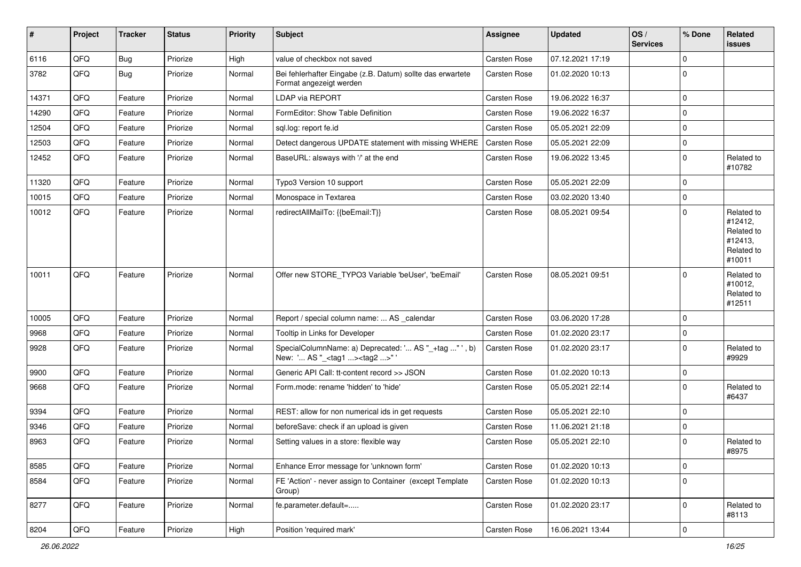| $\sharp$ | Project | <b>Tracker</b> | <b>Status</b> | <b>Priority</b> | Subject                                                                                           | <b>Assignee</b>     | <b>Updated</b>   | OS/<br><b>Services</b> | % Done      | Related<br>issues                                                      |
|----------|---------|----------------|---------------|-----------------|---------------------------------------------------------------------------------------------------|---------------------|------------------|------------------------|-------------|------------------------------------------------------------------------|
| 6116     | QFQ     | <b>Bug</b>     | Priorize      | High            | value of checkbox not saved                                                                       | <b>Carsten Rose</b> | 07.12.2021 17:19 |                        | 0           |                                                                        |
| 3782     | QFQ     | Bug            | Priorize      | Normal          | Bei fehlerhafter Eingabe (z.B. Datum) sollte das erwartete<br>Format angezeigt werden             | Carsten Rose        | 01.02.2020 10:13 |                        | $\Omega$    |                                                                        |
| 14371    | QFQ     | Feature        | Priorize      | Normal          | LDAP via REPORT                                                                                   | <b>Carsten Rose</b> | 19.06.2022 16:37 |                        | $\mathbf 0$ |                                                                        |
| 14290    | QFQ     | Feature        | Priorize      | Normal          | FormEditor: Show Table Definition                                                                 | <b>Carsten Rose</b> | 19.06.2022 16:37 |                        | $\Omega$    |                                                                        |
| 12504    | QFQ     | Feature        | Priorize      | Normal          | sql.log: report fe.id                                                                             | Carsten Rose        | 05.05.2021 22:09 |                        | $\Omega$    |                                                                        |
| 12503    | QFQ     | Feature        | Priorize      | Normal          | Detect dangerous UPDATE statement with missing WHERE                                              | <b>Carsten Rose</b> | 05.05.2021 22:09 |                        | 0           |                                                                        |
| 12452    | QFQ     | Feature        | Priorize      | Normal          | BaseURL: alsways with '/' at the end                                                              | Carsten Rose        | 19.06.2022 13:45 |                        | $\Omega$    | Related to<br>#10782                                                   |
| 11320    | QFQ     | Feature        | Priorize      | Normal          | Typo3 Version 10 support                                                                          | <b>Carsten Rose</b> | 05.05.2021 22:09 |                        | $\Omega$    |                                                                        |
| 10015    | QFQ     | Feature        | Priorize      | Normal          | Monospace in Textarea                                                                             | Carsten Rose        | 03.02.2020 13:40 |                        | $\mathbf 0$ |                                                                        |
| 10012    | QFQ     | Feature        | Priorize      | Normal          | redirectAllMailTo: {{beEmail:T}}                                                                  | Carsten Rose        | 08.05.2021 09:54 |                        | $\Omega$    | Related to<br>#12412,<br>Related to<br>#12413,<br>Related to<br>#10011 |
| 10011    | QFQ     | Feature        | Priorize      | Normal          | Offer new STORE_TYPO3 Variable 'beUser', 'beEmail'                                                | <b>Carsten Rose</b> | 08.05.2021 09:51 |                        | 0           | Related to<br>#10012,<br>Related to<br>#12511                          |
| 10005    | QFQ     | Feature        | Priorize      | Normal          | Report / special column name:  AS _calendar                                                       | Carsten Rose        | 03.06.2020 17:28 |                        | $\Omega$    |                                                                        |
| 9968     | QFQ     | Feature        | Priorize      | Normal          | Tooltip in Links for Developer                                                                    | <b>Carsten Rose</b> | 01.02.2020 23:17 |                        | $\mathbf 0$ |                                                                        |
| 9928     | QFQ     | Feature        | Priorize      | Normal          | SpecialColumnName: a) Deprecated: ' AS "_+tag " ', b)<br>New: ' AS "_ <tag1><tag2>"</tag2></tag1> | Carsten Rose        | 01.02.2020 23:17 |                        | $\Omega$    | Related to<br>#9929                                                    |
| 9900     | QFQ     | Feature        | Priorize      | Normal          | Generic API Call: tt-content record >> JSON                                                       | Carsten Rose        | 01.02.2020 10:13 |                        | $\mathbf 0$ |                                                                        |
| 9668     | QFQ     | Feature        | Priorize      | Normal          | Form.mode: rename 'hidden' to 'hide'                                                              | <b>Carsten Rose</b> | 05.05.2021 22:14 |                        | $\Omega$    | Related to<br>#6437                                                    |
| 9394     | QFQ     | Feature        | Priorize      | Normal          | REST: allow for non numerical ids in get requests                                                 | <b>Carsten Rose</b> | 05.05.2021 22:10 |                        | $\Omega$    |                                                                        |
| 9346     | QFQ     | Feature        | Priorize      | Normal          | beforeSave: check if an upload is given                                                           | Carsten Rose        | 11.06.2021 21:18 |                        | $\Omega$    |                                                                        |
| 8963     | QFQ     | Feature        | Priorize      | Normal          | Setting values in a store: flexible way                                                           | <b>Carsten Rose</b> | 05.05.2021 22:10 |                        | $\Omega$    | Related to<br>#8975                                                    |
| 8585     | QFQ     | Feature        | Priorize      | Normal          | Enhance Error message for 'unknown form'                                                          | Carsten Rose        | 01.02.2020 10:13 |                        | $\mathbf 0$ |                                                                        |
| 8584     | QFQ     | Feature        | Priorize      | Normal          | FE 'Action' - never assign to Container (except Template<br>Group)                                | Carsten Rose        | 01.02.2020 10:13 |                        | $\mathbf 0$ |                                                                        |
| 8277     | QFQ     | Feature        | Priorize      | Normal          | fe.parameter.default=                                                                             | Carsten Rose        | 01.02.2020 23:17 |                        | $\Omega$    | Related to<br>#8113                                                    |
| 8204     | QFQ     | Feature        | Priorize      | High            | Position 'required mark'                                                                          | Carsten Rose        | 16.06.2021 13:44 |                        | $\mathbf 0$ |                                                                        |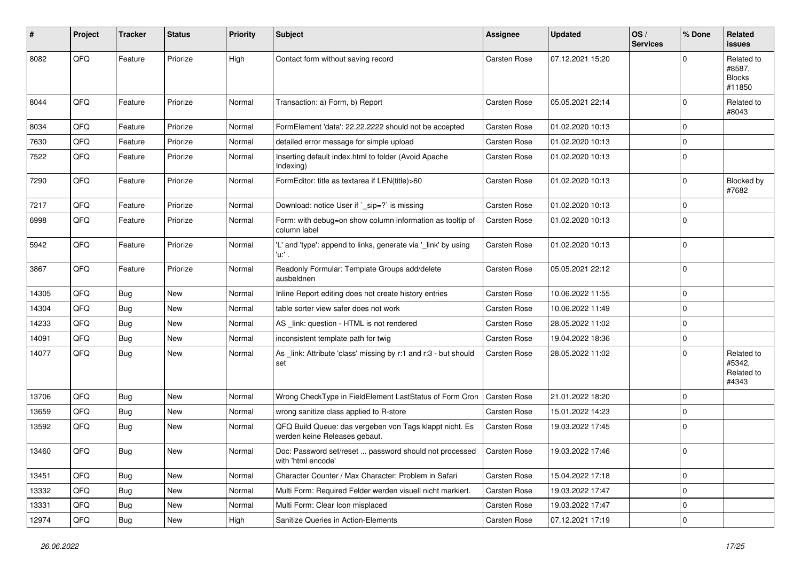| #     | Project | <b>Tracker</b> | <b>Status</b> | <b>Priority</b> | <b>Subject</b>                                                                           | Assignee            | <b>Updated</b>   | OS/<br><b>Services</b> | % Done      | Related<br><b>issues</b>                        |
|-------|---------|----------------|---------------|-----------------|------------------------------------------------------------------------------------------|---------------------|------------------|------------------------|-------------|-------------------------------------------------|
| 8082  | QFQ     | Feature        | Priorize      | High            | Contact form without saving record                                                       | <b>Carsten Rose</b> | 07.12.2021 15:20 |                        |             | Related to<br>#8587,<br><b>Blocks</b><br>#11850 |
| 8044  | QFQ     | Feature        | Priorize      | Normal          | Transaction: a) Form, b) Report                                                          | <b>Carsten Rose</b> | 05.05.2021 22:14 |                        | $\Omega$    | Related to<br>#8043                             |
| 8034  | QFQ     | Feature        | Priorize      | Normal          | FormElement 'data': 22.22.2222 should not be accepted                                    | <b>Carsten Rose</b> | 01.02.2020 10:13 |                        | $\Omega$    |                                                 |
| 7630  | QFQ     | Feature        | Priorize      | Normal          | detailed error message for simple upload                                                 | Carsten Rose        | 01.02.2020 10:13 |                        | $\Omega$    |                                                 |
| 7522  | QFQ     | Feature        | Priorize      | Normal          | Inserting default index.html to folder (Avoid Apache<br>Indexing)                        | <b>Carsten Rose</b> | 01.02.2020 10:13 |                        | $\Omega$    |                                                 |
| 7290  | QFQ     | Feature        | Priorize      | Normal          | FormEditor: title as textarea if LEN(title)>60                                           | <b>Carsten Rose</b> | 01.02.2020 10:13 |                        | $\Omega$    | Blocked by<br>#7682                             |
| 7217  | QFQ     | Feature        | Priorize      | Normal          | Download: notice User if `_sip=?` is missing                                             | <b>Carsten Rose</b> | 01.02.2020 10:13 |                        | $\Omega$    |                                                 |
| 6998  | QFQ     | Feature        | Priorize      | Normal          | Form: with debug=on show column information as tooltip of<br>column label                | Carsten Rose        | 01.02.2020 10:13 |                        | 0           |                                                 |
| 5942  | QFQ     | Feature        | Priorize      | Normal          | 'L' and 'type': append to links, generate via '_link' by using<br>'u:' .                 | <b>Carsten Rose</b> | 01.02.2020 10:13 |                        | $\Omega$    |                                                 |
| 3867  | QFQ     | Feature        | Priorize      | Normal          | Readonly Formular: Template Groups add/delete<br>ausbeldnen                              | <b>Carsten Rose</b> | 05.05.2021 22:12 |                        | $\Omega$    |                                                 |
| 14305 | QFQ     | <b>Bug</b>     | New           | Normal          | Inline Report editing does not create history entries                                    | <b>Carsten Rose</b> | 10.06.2022 11:55 |                        | $\mathbf 0$ |                                                 |
| 14304 | QFQ     | Bug            | <b>New</b>    | Normal          | table sorter view safer does not work                                                    | Carsten Rose        | 10.06.2022 11:49 |                        | $\Omega$    |                                                 |
| 14233 | QFQ     | <b>Bug</b>     | <b>New</b>    | Normal          | AS _link: question - HTML is not rendered                                                | Carsten Rose        | 28.05.2022 11:02 |                        | $\Omega$    |                                                 |
| 14091 | QFQ     | Bug            | <b>New</b>    | Normal          | inconsistent template path for twig                                                      | Carsten Rose        | 19.04.2022 18:36 |                        | $\Omega$    |                                                 |
| 14077 | QFQ     | Bug            | New           | Normal          | As _link: Attribute 'class' missing by r:1 and r:3 - but should<br>set                   | <b>Carsten Rose</b> | 28.05.2022 11:02 |                        | $\Omega$    | Related to<br>#5342,<br>Related to<br>#4343     |
| 13706 | QFQ     | <b>Bug</b>     | <b>New</b>    | Normal          | Wrong CheckType in FieldElement LastStatus of Form Cron                                  | <b>Carsten Rose</b> | 21.01.2022 18:20 |                        | $\Omega$    |                                                 |
| 13659 | QFQ     | Bug            | <b>New</b>    | Normal          | wrong sanitize class applied to R-store                                                  | Carsten Rose        | 15.01.2022 14:23 |                        | 0           |                                                 |
| 13592 | QFQ     | Bug            | New           | Normal          | QFQ Build Queue: das vergeben von Tags klappt nicht. Es<br>werden keine Releases gebaut. | Carsten Rose        | 19.03.2022 17:45 |                        | $\Omega$    |                                                 |
| 13460 | QFQ     | <b>Bug</b>     | New           | Normal          | Doc: Password set/reset  password should not processed<br>with 'html encode'             | Carsten Rose        | 19.03.2022 17:46 |                        | $\Omega$    |                                                 |
| 13451 | QFQ     | Bug            | New           | Normal          | Character Counter / Max Character: Problem in Safari                                     | Carsten Rose        | 15.04.2022 17:18 |                        | $\mathbf 0$ |                                                 |
| 13332 | QFQ     | Bug            | New           | Normal          | Multi Form: Required Felder werden visuell nicht markiert.                               | Carsten Rose        | 19.03.2022 17:47 |                        | $\mathbf 0$ |                                                 |
| 13331 | QFQ     | Bug            | New           | Normal          | Multi Form: Clear Icon misplaced                                                         | Carsten Rose        | 19.03.2022 17:47 |                        | 0           |                                                 |
| 12974 | QFQ     | <b>Bug</b>     | New           | High            | Sanitize Queries in Action-Elements                                                      | Carsten Rose        | 07.12.2021 17:19 |                        | 0           |                                                 |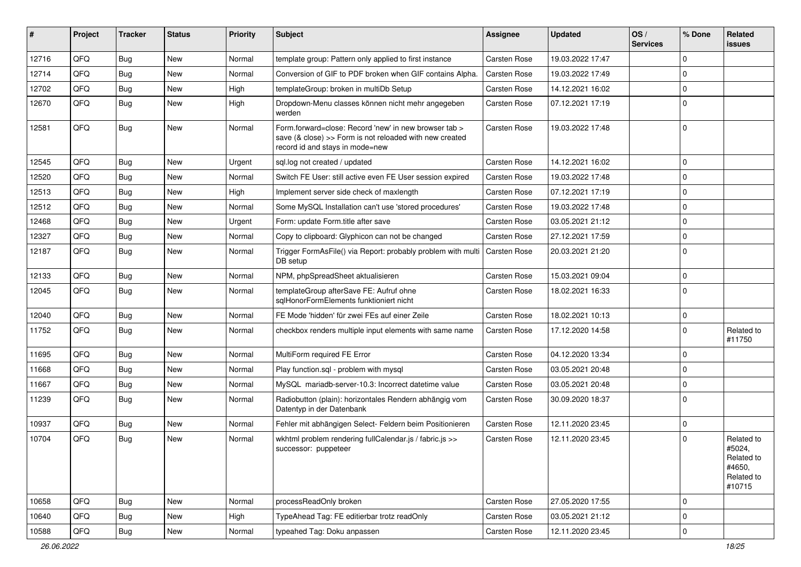| ∥ #   | Project | <b>Tracker</b> | <b>Status</b> | <b>Priority</b> | <b>Subject</b>                                                                                                                                      | Assignee            | <b>Updated</b>   | OS/<br><b>Services</b> | % Done      | Related<br>issues                                                    |
|-------|---------|----------------|---------------|-----------------|-----------------------------------------------------------------------------------------------------------------------------------------------------|---------------------|------------------|------------------------|-------------|----------------------------------------------------------------------|
| 12716 | QFQ     | Bug            | New           | Normal          | template group: Pattern only applied to first instance                                                                                              | <b>Carsten Rose</b> | 19.03.2022 17:47 |                        | $\mathbf 0$ |                                                                      |
| 12714 | QFQ     | Bug            | New           | Normal          | Conversion of GIF to PDF broken when GIF contains Alpha.                                                                                            | <b>Carsten Rose</b> | 19.03.2022 17:49 |                        | $\Omega$    |                                                                      |
| 12702 | QFQ     | Bug            | New           | High            | templateGroup: broken in multiDb Setup                                                                                                              | <b>Carsten Rose</b> | 14.12.2021 16:02 |                        | $\mathbf 0$ |                                                                      |
| 12670 | QFQ     | Bug            | New           | High            | Dropdown-Menu classes können nicht mehr angegeben<br>werden                                                                                         | Carsten Rose        | 07.12.2021 17:19 |                        | $\Omega$    |                                                                      |
| 12581 | QFQ     | Bug            | New           | Normal          | Form.forward=close: Record 'new' in new browser tab ><br>save (& close) >> Form is not reloaded with new created<br>record id and stays in mode=new | <b>Carsten Rose</b> | 19.03.2022 17:48 |                        | $\mathbf 0$ |                                                                      |
| 12545 | QFQ     | Bug            | New           | Urgent          | sql.log not created / updated                                                                                                                       | <b>Carsten Rose</b> | 14.12.2021 16:02 |                        | $\mathbf 0$ |                                                                      |
| 12520 | QFQ     | Bug            | New           | Normal          | Switch FE User: still active even FE User session expired                                                                                           | <b>Carsten Rose</b> | 19.03.2022 17:48 |                        | $\mathbf 0$ |                                                                      |
| 12513 | QFQ     | Bug            | New           | High            | Implement server side check of maxlength                                                                                                            | <b>Carsten Rose</b> | 07.12.2021 17:19 |                        | $\Omega$    |                                                                      |
| 12512 | QFQ     | Bug            | New           | Normal          | Some MySQL Installation can't use 'stored procedures'                                                                                               | Carsten Rose        | 19.03.2022 17:48 |                        | $\mathbf 0$ |                                                                      |
| 12468 | QFQ     | Bug            | New           | Urgent          | Form: update Form.title after save                                                                                                                  | <b>Carsten Rose</b> | 03.05.2021 21:12 |                        | $\mathbf 0$ |                                                                      |
| 12327 | QFQ     | Bug            | New           | Normal          | Copy to clipboard: Glyphicon can not be changed                                                                                                     | <b>Carsten Rose</b> | 27.12.2021 17:59 |                        | $\mathbf 0$ |                                                                      |
| 12187 | QFQ     | Bug            | New           | Normal          | Trigger FormAsFile() via Report: probably problem with multi<br>DB setup                                                                            | <b>Carsten Rose</b> | 20.03.2021 21:20 |                        | $\Omega$    |                                                                      |
| 12133 | QFQ     | Bug            | New           | Normal          | NPM, phpSpreadSheet aktualisieren                                                                                                                   | <b>Carsten Rose</b> | 15.03.2021 09:04 |                        | $\mathbf 0$ |                                                                      |
| 12045 | QFQ     | Bug            | New           | Normal          | templateGroup afterSave FE: Aufruf ohne<br>sqlHonorFormElements funktioniert nicht                                                                  | Carsten Rose        | 18.02.2021 16:33 |                        | $\Omega$    |                                                                      |
| 12040 | QFQ     | Bug            | New           | Normal          | FE Mode 'hidden' für zwei FEs auf einer Zeile                                                                                                       | <b>Carsten Rose</b> | 18.02.2021 10:13 |                        | $\mathbf 0$ |                                                                      |
| 11752 | QFQ     | Bug            | New           | Normal          | checkbox renders multiple input elements with same name                                                                                             | Carsten Rose        | 17.12.2020 14:58 |                        | $\Omega$    | Related to<br>#11750                                                 |
| 11695 | QFQ     | Bug            | New           | Normal          | MultiForm required FE Error                                                                                                                         | <b>Carsten Rose</b> | 04.12.2020 13:34 |                        | $\mathbf 0$ |                                                                      |
| 11668 | QFQ     | Bug            | New           | Normal          | Play function.sql - problem with mysql                                                                                                              | <b>Carsten Rose</b> | 03.05.2021 20:48 |                        | $\Omega$    |                                                                      |
| 11667 | QFQ     | Bug            | New           | Normal          | MySQL mariadb-server-10.3: Incorrect datetime value                                                                                                 | <b>Carsten Rose</b> | 03.05.2021 20:48 |                        | $\mathbf 0$ |                                                                      |
| 11239 | QFQ     | Bug            | New           | Normal          | Radiobutton (plain): horizontales Rendern abhängig vom<br>Datentyp in der Datenbank                                                                 | Carsten Rose        | 30.09.2020 18:37 |                        | $\Omega$    |                                                                      |
| 10937 | QFQ     | Bug            | New           | Normal          | Fehler mit abhängigen Select- Feldern beim Positionieren                                                                                            | <b>Carsten Rose</b> | 12.11.2020 23:45 |                        | $\mathbf 0$ |                                                                      |
| 10704 | QFQ     | Bug            | New           | Normal          | wkhtml problem rendering fullCalendar.js / fabric.js >><br>successor: puppeteer                                                                     | Carsten Rose        | 12.11.2020 23:45 |                        | $\Omega$    | Related to<br>#5024,<br>Related to<br>#4650,<br>Related to<br>#10715 |
| 10658 | QFQ     | Bug            | New           | Normal          | processReadOnly broken                                                                                                                              | Carsten Rose        | 27.05.2020 17:55 |                        | $\mathbf 0$ |                                                                      |
| 10640 | QFQ     | Bug            | New           | High            | TypeAhead Tag: FE editierbar trotz readOnly                                                                                                         | Carsten Rose        | 03.05.2021 21:12 |                        | $\mathbf 0$ |                                                                      |
| 10588 | QFQ     | <b>Bug</b>     | New           | Normal          | typeahed Tag: Doku anpassen                                                                                                                         | <b>Carsten Rose</b> | 12.11.2020 23:45 |                        | $\mathbf 0$ |                                                                      |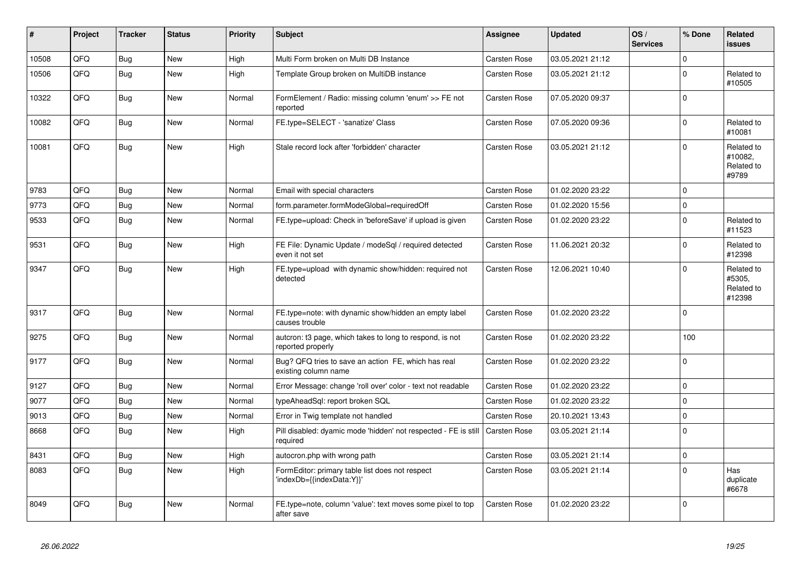| $\vert$ # | Project | <b>Tracker</b> | <b>Status</b> | <b>Priority</b> | <b>Subject</b>                                                                             | Assignee            | <b>Updated</b>   | OS/<br><b>Services</b> | % Done      | Related<br><b>issues</b>                     |
|-----------|---------|----------------|---------------|-----------------|--------------------------------------------------------------------------------------------|---------------------|------------------|------------------------|-------------|----------------------------------------------|
| 10508     | QFQ     | Bug            | <b>New</b>    | High            | Multi Form broken on Multi DB Instance                                                     | Carsten Rose        | 03.05.2021 21:12 |                        | $\Omega$    |                                              |
| 10506     | QFQ     | Bug            | New           | High            | Template Group broken on MultiDB instance                                                  | <b>Carsten Rose</b> | 03.05.2021 21:12 |                        | $\Omega$    | Related to<br>#10505                         |
| 10322     | QFQ     | Bug            | <b>New</b>    | Normal          | FormElement / Radio: missing column 'enum' >> FE not<br>reported                           | Carsten Rose        | 07.05.2020 09:37 |                        | $\Omega$    |                                              |
| 10082     | QFQ     | <b>Bug</b>     | <b>New</b>    | Normal          | FE.type=SELECT - 'sanatize' Class                                                          | Carsten Rose        | 07.05.2020 09:36 |                        | $\mathbf 0$ | Related to<br>#10081                         |
| 10081     | QFQ     | <b>Bug</b>     | <b>New</b>    | High            | Stale record lock after 'forbidden' character                                              | <b>Carsten Rose</b> | 03.05.2021 21:12 |                        | $\Omega$    | Related to<br>#10082,<br>Related to<br>#9789 |
| 9783      | QFQ     | Bug            | <b>New</b>    | Normal          | Email with special characters                                                              | <b>Carsten Rose</b> | 01.02.2020 23:22 |                        | $\mathbf 0$ |                                              |
| 9773      | QFQ     | Bug            | New           | Normal          | form.parameter.formModeGlobal=requiredOff                                                  | Carsten Rose        | 01.02.2020 15:56 |                        | $\mathbf 0$ |                                              |
| 9533      | QFQ     | <b>Bug</b>     | New           | Normal          | FE.type=upload: Check in 'beforeSave' if upload is given                                   | Carsten Rose        | 01.02.2020 23:22 |                        | $\mathbf 0$ | Related to<br>#11523                         |
| 9531      | QFQ     | <b>Bug</b>     | <b>New</b>    | High            | FE File: Dynamic Update / modeSql / required detected<br>even it not set                   | Carsten Rose        | 11.06.2021 20:32 |                        | $\mathbf 0$ | Related to<br>#12398                         |
| 9347      | QFQ     | <b>Bug</b>     | <b>New</b>    | High            | FE.type=upload with dynamic show/hidden: required not<br>detected                          | Carsten Rose        | 12.06.2021 10:40 |                        | $\Omega$    | Related to<br>#5305,<br>Related to<br>#12398 |
| 9317      | QFQ     | Bug            | New           | Normal          | FE.type=note: with dynamic show/hidden an empty label<br>causes trouble                    | Carsten Rose        | 01.02.2020 23:22 |                        | $\Omega$    |                                              |
| 9275      | QFQ     | <b>Bug</b>     | <b>New</b>    | Normal          | autcron: t3 page, which takes to long to respond, is not<br>reported properly              | Carsten Rose        | 01.02.2020 23:22 |                        | 100         |                                              |
| 9177      | QFQ     | <b>Bug</b>     | <b>New</b>    | Normal          | Bug? QFQ tries to save an action FE, which has real<br>existing column name                | Carsten Rose        | 01.02.2020 23:22 |                        | $\mathbf 0$ |                                              |
| 9127      | QFQ     | Bug            | <b>New</b>    | Normal          | Error Message: change 'roll over' color - text not readable                                | Carsten Rose        | 01.02.2020 23:22 |                        | $\mathbf 0$ |                                              |
| 9077      | QFQ     | Bug            | <b>New</b>    | Normal          | typeAheadSql: report broken SQL                                                            | Carsten Rose        | 01.02.2020 23:22 |                        | $\mathbf 0$ |                                              |
| 9013      | QFQ     | <b>Bug</b>     | <b>New</b>    | Normal          | Error in Twig template not handled                                                         | <b>Carsten Rose</b> | 20.10.2021 13:43 |                        | $\mathbf 0$ |                                              |
| 8668      | QFQ     | Bug            | <b>New</b>    | High            | Pill disabled: dyamic mode 'hidden' not respected - FE is still   Carsten Rose<br>required |                     | 03.05.2021 21:14 |                        | $\Omega$    |                                              |
| 8431      | QFQ     | <b>Bug</b>     | <b>New</b>    | High            | autocron.php with wrong path                                                               | Carsten Rose        | 03.05.2021 21:14 |                        | $\pmb{0}$   |                                              |
| 8083      | QFQ     | <b>Bug</b>     | New           | High            | FormEditor: primary table list does not respect<br>'indexDb={{indexData:Y}}'               | Carsten Rose        | 03.05.2021 21:14 |                        | $\Omega$    | Has<br>duplicate<br>#6678                    |
| 8049      | QFQ     | Bug            | <b>New</b>    | Normal          | FE.type=note, column 'value': text moves some pixel to top<br>after save                   | <b>Carsten Rose</b> | 01.02.2020 23:22 |                        | $\Omega$    |                                              |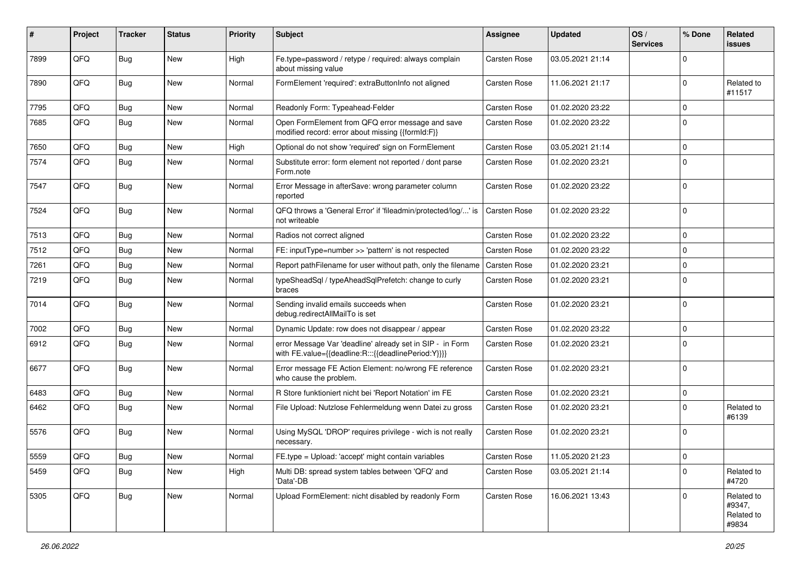| ∦    | Project | <b>Tracker</b> | <b>Status</b> | <b>Priority</b> | Subject                                                                                                          | <b>Assignee</b>     | <b>Updated</b>   | OS/<br><b>Services</b> | % Done      | Related<br>issues                           |
|------|---------|----------------|---------------|-----------------|------------------------------------------------------------------------------------------------------------------|---------------------|------------------|------------------------|-------------|---------------------------------------------|
| 7899 | QFQ     | Bug            | <b>New</b>    | High            | Fe.type=password / retype / required: always complain<br>about missing value                                     | <b>Carsten Rose</b> | 03.05.2021 21:14 |                        | $\Omega$    |                                             |
| 7890 | QFQ     | Bug            | New           | Normal          | FormElement 'required': extraButtonInfo not aligned                                                              | <b>Carsten Rose</b> | 11.06.2021 21:17 |                        | $\Omega$    | Related to<br>#11517                        |
| 7795 | QFQ     | Bug            | <b>New</b>    | Normal          | Readonly Form: Typeahead-Felder                                                                                  | <b>Carsten Rose</b> | 01.02.2020 23:22 |                        | $\Omega$    |                                             |
| 7685 | QFQ     | Bug            | New           | Normal          | Open FormElement from QFQ error message and save<br>modified record: error about missing {{formId:F}}            | <b>Carsten Rose</b> | 01.02.2020 23:22 |                        | $\Omega$    |                                             |
| 7650 | QFQ     | Bug            | <b>New</b>    | High            | Optional do not show 'required' sign on FormElement                                                              | Carsten Rose        | 03.05.2021 21:14 |                        | $\Omega$    |                                             |
| 7574 | QFQ     | Bug            | New           | Normal          | Substitute error: form element not reported / dont parse<br>Form.note                                            | <b>Carsten Rose</b> | 01.02.2020 23:21 |                        | $\Omega$    |                                             |
| 7547 | QFQ     | Bug            | New           | Normal          | Error Message in afterSave: wrong parameter column<br>reported                                                   | <b>Carsten Rose</b> | 01.02.2020 23:22 |                        | $\Omega$    |                                             |
| 7524 | QFQ     | Bug            | <b>New</b>    | Normal          | QFQ throws a 'General Error' if 'fileadmin/protected/log/' is<br>not writeable                                   | Carsten Rose        | 01.02.2020 23:22 |                        | $\Omega$    |                                             |
| 7513 | QFQ     | <b>Bug</b>     | <b>New</b>    | Normal          | Radios not correct aligned                                                                                       | <b>Carsten Rose</b> | 01.02.2020 23:22 |                        | $\Omega$    |                                             |
| 7512 | QFQ     | <b>Bug</b>     | <b>New</b>    | Normal          | FE: inputType=number >> 'pattern' is not respected                                                               | <b>Carsten Rose</b> | 01.02.2020 23:22 |                        | $\mathbf 0$ |                                             |
| 7261 | QFQ     | Bug            | <b>New</b>    | Normal          | Report pathFilename for user without path, only the filename                                                     | <b>Carsten Rose</b> | 01.02.2020 23:21 |                        | $\Omega$    |                                             |
| 7219 | QFQ     | <b>Bug</b>     | New           | Normal          | typeSheadSql / typeAheadSqlPrefetch: change to curly<br>braces                                                   | Carsten Rose        | 01.02.2020 23:21 |                        | $\Omega$    |                                             |
| 7014 | QFQ     | Bug            | <b>New</b>    | Normal          | Sending invalid emails succeeds when<br>debug.redirectAllMailTo is set                                           | <b>Carsten Rose</b> | 01.02.2020 23:21 |                        | $\mathbf 0$ |                                             |
| 7002 | QFQ     | Bug            | <b>New</b>    | Normal          | Dynamic Update: row does not disappear / appear                                                                  | <b>Carsten Rose</b> | 01.02.2020 23:22 |                        | $\mathbf 0$ |                                             |
| 6912 | QFQ     | <b>Bug</b>     | <b>New</b>    | Normal          | error Message Var 'deadline' already set in SIP - in Form<br>with FE.value={{deadline:R:::{{deadlinePeriod:Y}}}} | Carsten Rose        | 01.02.2020 23:21 |                        | $\Omega$    |                                             |
| 6677 | QFQ     | Bug            | New           | Normal          | Error message FE Action Element: no/wrong FE reference<br>who cause the problem.                                 | <b>Carsten Rose</b> | 01.02.2020 23:21 |                        | 0           |                                             |
| 6483 | QFQ     | Bug            | <b>New</b>    | Normal          | R Store funktioniert nicht bei 'Report Notation' im FE                                                           | <b>Carsten Rose</b> | 01.02.2020 23:21 |                        | 0           |                                             |
| 6462 | QFQ     | Bug            | New           | Normal          | File Upload: Nutzlose Fehlermeldung wenn Datei zu gross                                                          | <b>Carsten Rose</b> | 01.02.2020 23:21 |                        | $\Omega$    | Related to<br>#6139                         |
| 5576 | QFQ     | Bug            | New           | Normal          | Using MySQL 'DROP' requires privilege - wich is not really<br>necessary.                                         | <b>Carsten Rose</b> | 01.02.2020 23:21 |                        | $\Omega$    |                                             |
| 5559 | QFQ     | Bug            | <b>New</b>    | Normal          | FE.type = Upload: 'accept' might contain variables                                                               | Carsten Rose        | 11.05.2020 21:23 |                        | l 0         |                                             |
| 5459 | QFQ     | Bug            | New           | High            | Multi DB: spread system tables between 'QFQ' and<br>'Data'-DB                                                    | Carsten Rose        | 03.05.2021 21:14 |                        | $\mathbf 0$ | Related to<br>#4720                         |
| 5305 | QFQ     | Bug            | New           | Normal          | Upload FormElement: nicht disabled by readonly Form                                                              | Carsten Rose        | 16.06.2021 13:43 |                        | $\Omega$    | Related to<br>#9347,<br>Related to<br>#9834 |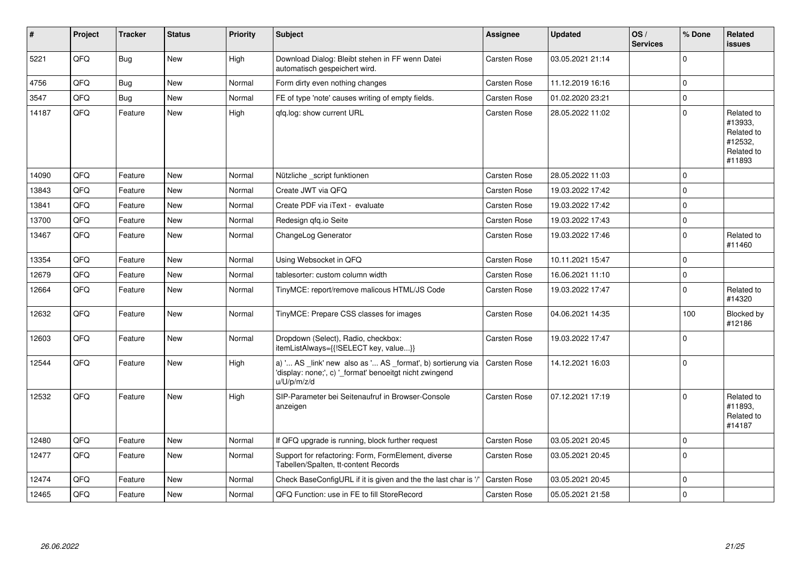| #     | Project | <b>Tracker</b> | <b>Status</b> | <b>Priority</b> | <b>Subject</b>                                                                                                                        | Assignee            | <b>Updated</b>   | OS/<br><b>Services</b> | % Done      | <b>Related</b><br><b>issues</b>                                        |
|-------|---------|----------------|---------------|-----------------|---------------------------------------------------------------------------------------------------------------------------------------|---------------------|------------------|------------------------|-------------|------------------------------------------------------------------------|
| 5221  | QFQ     | <b>Bug</b>     | <b>New</b>    | High            | Download Dialog: Bleibt stehen in FF wenn Datei<br>automatisch gespeichert wird.                                                      | <b>Carsten Rose</b> | 03.05.2021 21:14 |                        | $\Omega$    |                                                                        |
| 4756  | QFQ     | <b>Bug</b>     | <b>New</b>    | Normal          | Form dirty even nothing changes                                                                                                       | <b>Carsten Rose</b> | 11.12.2019 16:16 |                        | $\Omega$    |                                                                        |
| 3547  | QFQ     | Bug            | <b>New</b>    | Normal          | FE of type 'note' causes writing of empty fields.                                                                                     | Carsten Rose        | 01.02.2020 23:21 |                        | $\Omega$    |                                                                        |
| 14187 | QFQ     | Feature        | <b>New</b>    | High            | gfg.log: show current URL                                                                                                             | <b>Carsten Rose</b> | 28.05.2022 11:02 |                        | $\Omega$    | Related to<br>#13933,<br>Related to<br>#12532.<br>Related to<br>#11893 |
| 14090 | QFQ     | Feature        | <b>New</b>    | Normal          | Nützliche _script funktionen                                                                                                          | <b>Carsten Rose</b> | 28.05.2022 11:03 |                        | $\Omega$    |                                                                        |
| 13843 | QFQ     | Feature        | <b>New</b>    | Normal          | Create JWT via QFQ                                                                                                                    | <b>Carsten Rose</b> | 19.03.2022 17:42 |                        | $\Omega$    |                                                                        |
| 13841 | QFQ     | Feature        | New           | Normal          | Create PDF via iText - evaluate                                                                                                       | Carsten Rose        | 19.03.2022 17:42 |                        | $\Omega$    |                                                                        |
| 13700 | QFQ     | Feature        | <b>New</b>    | Normal          | Redesign gfg.io Seite                                                                                                                 | <b>Carsten Rose</b> | 19.03.2022 17:43 |                        | $\mathbf 0$ |                                                                        |
| 13467 | QFQ     | Feature        | New           | Normal          | ChangeLog Generator                                                                                                                   | <b>Carsten Rose</b> | 19.03.2022 17:46 |                        | $\Omega$    | Related to<br>#11460                                                   |
| 13354 | QFQ     | Feature        | <b>New</b>    | Normal          | Using Websocket in QFQ                                                                                                                | <b>Carsten Rose</b> | 10.11.2021 15:47 |                        | $\Omega$    |                                                                        |
| 12679 | QFQ     | Feature        | <b>New</b>    | Normal          | tablesorter: custom column width                                                                                                      | <b>Carsten Rose</b> | 16.06.2021 11:10 |                        | $\mathbf 0$ |                                                                        |
| 12664 | QFQ     | Feature        | New           | Normal          | TinyMCE: report/remove malicous HTML/JS Code                                                                                          | <b>Carsten Rose</b> | 19.03.2022 17:47 |                        | $\Omega$    | Related to<br>#14320                                                   |
| 12632 | QFQ     | Feature        | <b>New</b>    | Normal          | TinyMCE: Prepare CSS classes for images                                                                                               | <b>Carsten Rose</b> | 04.06.2021 14:35 |                        | 100         | Blocked by<br>#12186                                                   |
| 12603 | QFQ     | Feature        | <b>New</b>    | Normal          | Dropdown (Select), Radio, checkbox:<br>itemListAlways={{!SELECT key, value}}                                                          | <b>Carsten Rose</b> | 19.03.2022 17:47 |                        | $\Omega$    |                                                                        |
| 12544 | QFQ     | Feature        | <b>New</b>    | High            | a) ' AS _link' new also as ' AS _format', b) sortierung via<br>'display: none;', c) ' format' benoeitgt nicht zwingend<br>u/U/p/m/z/d | Carsten Rose        | 14.12.2021 16:03 |                        | $\Omega$    |                                                                        |
| 12532 | QFQ     | Feature        | <b>New</b>    | High            | SIP-Parameter bei Seitenaufruf in Browser-Console<br>anzeigen                                                                         | <b>Carsten Rose</b> | 07.12.2021 17:19 |                        | $\Omega$    | Related to<br>#11893.<br>Related to<br>#14187                          |
| 12480 | QFQ     | Feature        | <b>New</b>    | Normal          | If QFQ upgrade is running, block further request                                                                                      | <b>Carsten Rose</b> | 03.05.2021 20:45 |                        | 0           |                                                                        |
| 12477 | QFQ     | Feature        | New           | Normal          | Support for refactoring: Form, FormElement, diverse<br>Tabellen/Spalten, tt-content Records                                           | <b>Carsten Rose</b> | 03.05.2021 20:45 |                        | $\Omega$    |                                                                        |
| 12474 | QFQ     | Feature        | <b>New</b>    | Normal          | Check BaseConfigURL if it is given and the the last char is '/'                                                                       | <b>Carsten Rose</b> | 03.05.2021 20:45 |                        | $\Omega$    |                                                                        |
| 12465 | QFQ     | Feature        | New           | Normal          | QFQ Function: use in FE to fill StoreRecord                                                                                           | <b>Carsten Rose</b> | 05.05.2021 21:58 |                        | $\mathbf 0$ |                                                                        |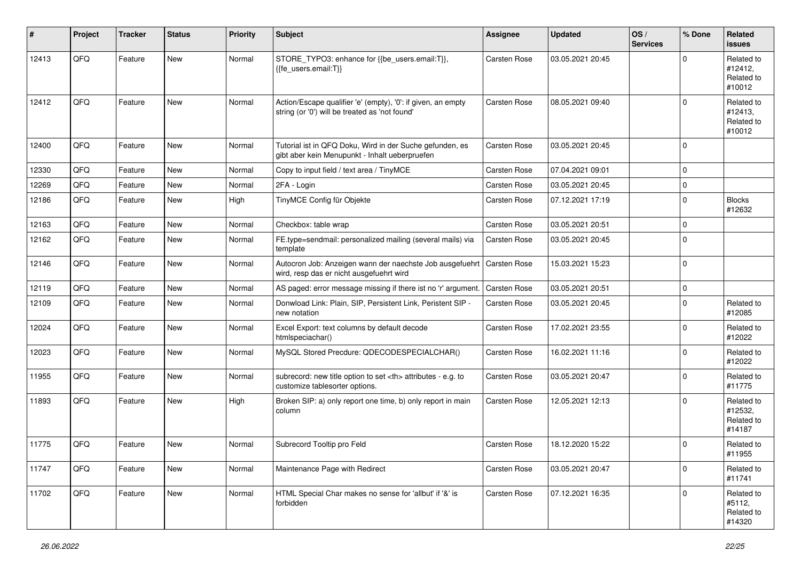| #     | Project | <b>Tracker</b> | <b>Status</b> | <b>Priority</b> | Subject                                                                                                             | Assignee                                               | <b>Updated</b>   | OS/<br><b>Services</b> | % Done      | Related<br><b>issues</b>                      |                      |
|-------|---------|----------------|---------------|-----------------|---------------------------------------------------------------------------------------------------------------------|--------------------------------------------------------|------------------|------------------------|-------------|-----------------------------------------------|----------------------|
| 12413 | QFQ     | Feature        | <b>New</b>    | Normal          | STORE_TYPO3: enhance for {{be_users.email:T}},<br>{{fe users.email:T}}                                              | Carsten Rose                                           | 03.05.2021 20:45 |                        | $\Omega$    | Related to<br>#12412,<br>Related to<br>#10012 |                      |
| 12412 | QFQ     | Feature        | <b>New</b>    | Normal          | Action/Escape qualifier 'e' (empty), '0': if given, an empty<br>string (or '0') will be treated as 'not found'      | Carsten Rose                                           | 08.05.2021 09:40 |                        | $\Omega$    | Related to<br>#12413,<br>Related to<br>#10012 |                      |
| 12400 | QFQ     | Feature        | New           | Normal          | Tutorial ist in QFQ Doku, Wird in der Suche gefunden, es<br>gibt aber kein Menupunkt - Inhalt ueberpruefen          | Carsten Rose                                           | 03.05.2021 20:45 |                        | $\mathbf 0$ |                                               |                      |
| 12330 | QFQ     | Feature        | New           | Normal          | Copy to input field / text area / TinyMCE                                                                           | Carsten Rose                                           | 07.04.2021 09:01 |                        | $\Omega$    |                                               |                      |
| 12269 | QFQ     | Feature        | <b>New</b>    | Normal          | 2FA - Login                                                                                                         | Carsten Rose                                           | 03.05.2021 20:45 |                        | $\mathbf 0$ |                                               |                      |
| 12186 | QFQ     | Feature        | New           | High            | TinyMCE Config für Objekte                                                                                          | Carsten Rose                                           | 07.12.2021 17:19 |                        | $\mathbf 0$ | <b>Blocks</b><br>#12632                       |                      |
| 12163 | QFQ     | Feature        | New           | Normal          | Checkbox: table wrap                                                                                                | Carsten Rose                                           | 03.05.2021 20:51 |                        | $\mathbf 0$ |                                               |                      |
| 12162 | QFQ     | Feature        | <b>New</b>    | Normal          | FE.type=sendmail: personalized mailing (several mails) via<br>template                                              | Carsten Rose                                           | 03.05.2021 20:45 |                        | $\mathbf 0$ |                                               |                      |
| 12146 | QFQ     | Feature        | <b>New</b>    | Normal          | Autocron Job: Anzeigen wann der naechste Job ausgefuehrt   Carsten Rose<br>wird, resp das er nicht ausgefuehrt wird |                                                        | 15.03.2021 15:23 |                        | $\mathbf 0$ |                                               |                      |
| 12119 | QFQ     | Feature        | <b>New</b>    | Normal          | AS paged: error message missing if there ist no 'r' argument.                                                       | <b>Carsten Rose</b>                                    | 03.05.2021 20:51 |                        | $\mathbf 0$ |                                               |                      |
| 12109 | QFQ     | Feature        | New           | Normal          | Donwload Link: Plain, SIP, Persistent Link, Peristent SIP -<br>new notation                                         | Carsten Rose                                           | 03.05.2021 20:45 |                        | $\mathbf 0$ | Related to<br>#12085                          |                      |
| 12024 | QFQ     | Feature        | <b>New</b>    | Normal          | Excel Export: text columns by default decode<br>htmlspeciachar()                                                    | Carsten Rose                                           | 17.02.2021 23:55 |                        | $\mathbf 0$ | Related to<br>#12022                          |                      |
| 12023 | QFQ     | Feature        | New           | Normal          | MySQL Stored Precdure: QDECODESPECIALCHAR()                                                                         | Carsten Rose                                           | 16.02.2021 11:16 |                        | $\mathbf 0$ | Related to<br>#12022                          |                      |
| 11955 | QFQ     | Feature        | <b>New</b>    | Normal          | subrecord: new title option to set <th> attributes - e.g. to<br/>customize tablesorter options.</th>                | attributes - e.g. to<br>customize tablesorter options. | Carsten Rose     | 03.05.2021 20:47       |             | $\Omega$                                      | Related to<br>#11775 |
| 11893 | QFQ     | Feature        | <b>New</b>    | High            | Broken SIP: a) only report one time, b) only report in main<br>column                                               | Carsten Rose                                           | 12.05.2021 12:13 |                        | $\Omega$    | Related to<br>#12532,<br>Related to<br>#14187 |                      |
| 11775 | QFQ     | Feature        | <b>New</b>    | Normal          | Subrecord Tooltip pro Feld                                                                                          | Carsten Rose                                           | 18.12.2020 15:22 |                        | $\mathbf 0$ | Related to<br>#11955                          |                      |
| 11747 | QFQ     | Feature        | New           | Normal          | Maintenance Page with Redirect                                                                                      | Carsten Rose                                           | 03.05.2021 20:47 |                        | $\mathbf 0$ | Related to<br>#11741                          |                      |
| 11702 | QFQ     | Feature        | New           | Normal          | HTML Special Char makes no sense for 'allbut' if '&' is<br>forbidden                                                | Carsten Rose                                           | 07.12.2021 16:35 |                        | $\mathbf 0$ | Related to<br>#5112,<br>Related to<br>#14320  |                      |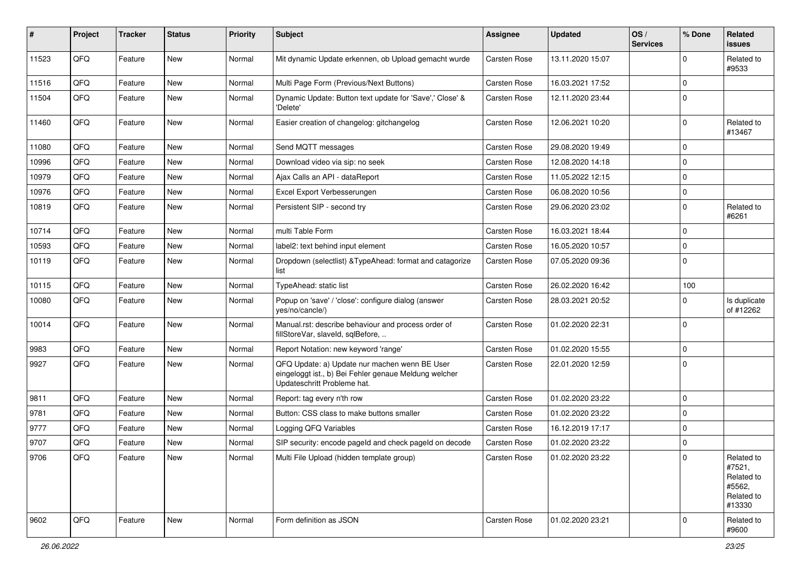| ∦     | Project | <b>Tracker</b> | <b>Status</b> | <b>Priority</b> | Subject                                                                                                                               | Assignee            | <b>Updated</b>   | OS/<br><b>Services</b> | % Done      | Related<br><b>issues</b>                                             |
|-------|---------|----------------|---------------|-----------------|---------------------------------------------------------------------------------------------------------------------------------------|---------------------|------------------|------------------------|-------------|----------------------------------------------------------------------|
| 11523 | QFQ     | Feature        | <b>New</b>    | Normal          | Mit dynamic Update erkennen, ob Upload gemacht wurde                                                                                  | <b>Carsten Rose</b> | 13.11.2020 15:07 |                        | $\Omega$    | Related to<br>#9533                                                  |
| 11516 | QFQ     | Feature        | New           | Normal          | Multi Page Form (Previous/Next Buttons)                                                                                               | <b>Carsten Rose</b> | 16.03.2021 17:52 |                        | $\Omega$    |                                                                      |
| 11504 | QFQ     | Feature        | <b>New</b>    | Normal          | Dynamic Update: Button text update for 'Save',' Close' &<br>'Delete'                                                                  | <b>Carsten Rose</b> | 12.11.2020 23:44 |                        | $\Omega$    |                                                                      |
| 11460 | QFQ     | Feature        | New           | Normal          | Easier creation of changelog: gitchangelog                                                                                            | Carsten Rose        | 12.06.2021 10:20 |                        | $\mathbf 0$ | Related to<br>#13467                                                 |
| 11080 | QFQ     | Feature        | <b>New</b>    | Normal          | Send MQTT messages                                                                                                                    | Carsten Rose        | 29.08.2020 19:49 |                        | $\Omega$    |                                                                      |
| 10996 | QFQ     | Feature        | New           | Normal          | Download video via sip: no seek                                                                                                       | <b>Carsten Rose</b> | 12.08.2020 14:18 |                        | $\Omega$    |                                                                      |
| 10979 | QFQ     | Feature        | New           | Normal          | Ajax Calls an API - dataReport                                                                                                        | Carsten Rose        | 11.05.2022 12:15 |                        | $\mathbf 0$ |                                                                      |
| 10976 | QFQ     | Feature        | New           | Normal          | Excel Export Verbesserungen                                                                                                           | Carsten Rose        | 06.08.2020 10:56 |                        | $\Omega$    |                                                                      |
| 10819 | QFQ     | Feature        | <b>New</b>    | Normal          | Persistent SIP - second try                                                                                                           | Carsten Rose        | 29.06.2020 23:02 |                        | $\Omega$    | Related to<br>#6261                                                  |
| 10714 | QFQ     | Feature        | New           | Normal          | multi Table Form                                                                                                                      | Carsten Rose        | 16.03.2021 18:44 |                        | $\mathbf 0$ |                                                                      |
| 10593 | QFQ     | Feature        | <b>New</b>    | Normal          | label2: text behind input element                                                                                                     | <b>Carsten Rose</b> | 16.05.2020 10:57 |                        | $\mathbf 0$ |                                                                      |
| 10119 | QFQ     | Feature        | <b>New</b>    | Normal          | Dropdown (selectlist) & TypeAhead: format and catagorize<br>list                                                                      | Carsten Rose        | 07.05.2020 09:36 |                        | $\Omega$    |                                                                      |
| 10115 | QFQ     | Feature        | <b>New</b>    | Normal          | TypeAhead: static list                                                                                                                | Carsten Rose        | 26.02.2020 16:42 |                        | 100         |                                                                      |
| 10080 | QFQ     | Feature        | New           | Normal          | Popup on 'save' / 'close': configure dialog (answer<br>yes/no/cancle/)                                                                | <b>Carsten Rose</b> | 28.03.2021 20:52 |                        | $\Omega$    | Is duplicate<br>of #12262                                            |
| 10014 | QFQ     | Feature        | <b>New</b>    | Normal          | Manual.rst: describe behaviour and process order of<br>fillStoreVar, slaveId, sqlBefore,                                              | <b>Carsten Rose</b> | 01.02.2020 22:31 |                        | $\Omega$    |                                                                      |
| 9983  | QFQ     | Feature        | <b>New</b>    | Normal          | Report Notation: new keyword 'range'                                                                                                  | Carsten Rose        | 01.02.2020 15:55 |                        | $\mathbf 0$ |                                                                      |
| 9927  | QFQ     | Feature        | New           | Normal          | QFQ Update: a) Update nur machen wenn BE User<br>eingeloggt ist., b) Bei Fehler genaue Meldung welcher<br>Updateschritt Probleme hat. | Carsten Rose        | 22.01.2020 12:59 |                        | $\Omega$    |                                                                      |
| 9811  | QFQ     | Feature        | <b>New</b>    | Normal          | Report: tag every n'th row                                                                                                            | <b>Carsten Rose</b> | 01.02.2020 23:22 |                        | $\Omega$    |                                                                      |
| 9781  | QFQ     | Feature        | New           | Normal          | Button: CSS class to make buttons smaller                                                                                             | Carsten Rose        | 01.02.2020 23:22 |                        | $\Omega$    |                                                                      |
| 9777  | QFQ     | Feature        | New           | Normal          | Logging QFQ Variables                                                                                                                 | <b>Carsten Rose</b> | 16.12.2019 17:17 |                        | $\mathbf 0$ |                                                                      |
| 9707  | QFQ     | Feature        | New           | Normal          | SIP security: encode pageld and check pageld on decode                                                                                | <b>Carsten Rose</b> | 01.02.2020 23:22 |                        | $\mathbf 0$ |                                                                      |
| 9706  | QFQ     | Feature        | New           | Normal          | Multi File Upload (hidden template group)                                                                                             | Carsten Rose        | 01.02.2020 23:22 |                        | 0           | Related to<br>#7521,<br>Related to<br>#5562,<br>Related to<br>#13330 |
| 9602  | QFQ     | Feature        | New           | Normal          | Form definition as JSON                                                                                                               | Carsten Rose        | 01.02.2020 23:21 |                        | $\mathbf 0$ | Related to<br>#9600                                                  |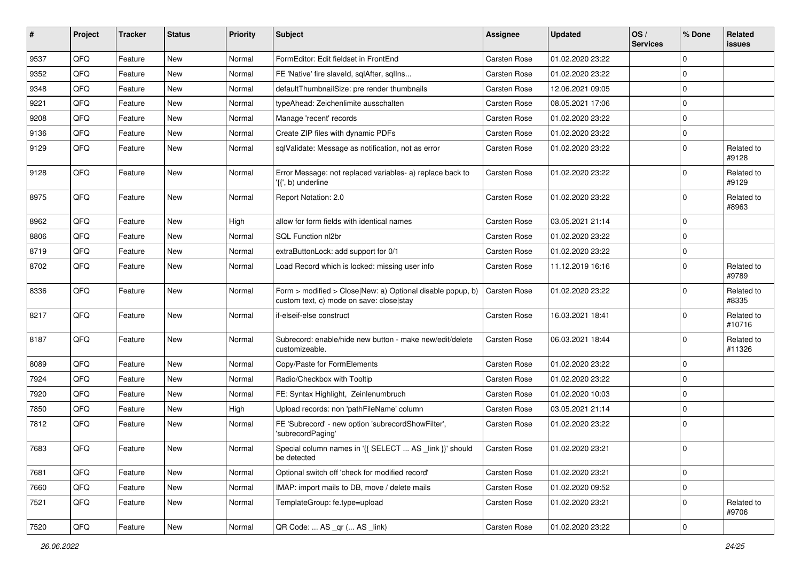| ∦    | Project | <b>Tracker</b> | <b>Status</b> | <b>Priority</b> | Subject                                                                                                | Assignee            | <b>Updated</b>   | OS/<br><b>Services</b> | % Done      | Related<br><b>issues</b> |
|------|---------|----------------|---------------|-----------------|--------------------------------------------------------------------------------------------------------|---------------------|------------------|------------------------|-------------|--------------------------|
| 9537 | QFQ     | Feature        | <b>New</b>    | Normal          | FormEditor: Edit fieldset in FrontEnd                                                                  | Carsten Rose        | 01.02.2020 23:22 |                        | $\Omega$    |                          |
| 9352 | QFQ     | Feature        | <b>New</b>    | Normal          | FE 'Native' fire slaveld, sqlAfter, sqlIns                                                             | Carsten Rose        | 01.02.2020 23:22 |                        | 0           |                          |
| 9348 | QFQ     | Feature        | <b>New</b>    | Normal          | defaultThumbnailSize: pre render thumbnails                                                            | <b>Carsten Rose</b> | 12.06.2021 09:05 |                        | $\Omega$    |                          |
| 9221 | QFQ     | Feature        | <b>New</b>    | Normal          | typeAhead: Zeichenlimite ausschalten                                                                   | <b>Carsten Rose</b> | 08.05.2021 17:06 |                        | $\Omega$    |                          |
| 9208 | QFQ     | Feature        | <b>New</b>    | Normal          | Manage 'recent' records                                                                                | <b>Carsten Rose</b> | 01.02.2020 23:22 |                        | $\Omega$    |                          |
| 9136 | QFQ     | Feature        | <b>New</b>    | Normal          | Create ZIP files with dynamic PDFs                                                                     | Carsten Rose        | 01.02.2020 23:22 |                        | $\Omega$    |                          |
| 9129 | QFQ     | Feature        | <b>New</b>    | Normal          | sqlValidate: Message as notification, not as error                                                     | Carsten Rose        | 01.02.2020 23:22 |                        | $\Omega$    | Related to<br>#9128      |
| 9128 | QFQ     | Feature        | <b>New</b>    | Normal          | Error Message: not replaced variables- a) replace back to<br>$\langle \{ \cdot, b \rangle$ underline   | <b>Carsten Rose</b> | 01.02.2020 23:22 |                        | $\mathbf 0$ | Related to<br>#9129      |
| 8975 | QFQ     | Feature        | New           | Normal          | Report Notation: 2.0                                                                                   | <b>Carsten Rose</b> | 01.02.2020 23:22 |                        | $\Omega$    | Related to<br>#8963      |
| 8962 | QFQ     | Feature        | <b>New</b>    | High            | allow for form fields with identical names                                                             | <b>Carsten Rose</b> | 03.05.2021 21:14 |                        | $\Omega$    |                          |
| 8806 | QFQ     | Feature        | New           | Normal          | SQL Function nl2br                                                                                     | Carsten Rose        | 01.02.2020 23:22 |                        | 0           |                          |
| 8719 | QFQ     | Feature        | <b>New</b>    | Normal          | extraButtonLock: add support for 0/1                                                                   | <b>Carsten Rose</b> | 01.02.2020 23:22 |                        | $\mathbf 0$ |                          |
| 8702 | QFQ     | Feature        | <b>New</b>    | Normal          | Load Record which is locked: missing user info                                                         | <b>Carsten Rose</b> | 11.12.2019 16:16 |                        | $\Omega$    | Related to<br>#9789      |
| 8336 | QFQ     | Feature        | <b>New</b>    | Normal          | Form > modified > Close New: a) Optional disable popup, b)<br>custom text, c) mode on save: close stay | <b>Carsten Rose</b> | 01.02.2020 23:22 |                        | $\Omega$    | Related to<br>#8335      |
| 8217 | QFQ     | Feature        | <b>New</b>    | Normal          | if-elseif-else construct                                                                               | <b>Carsten Rose</b> | 16.03.2021 18:41 |                        | $\mathbf 0$ | Related to<br>#10716     |
| 8187 | QFQ     | Feature        | <b>New</b>    | Normal          | Subrecord: enable/hide new button - make new/edit/delete<br>customizeable.                             | <b>Carsten Rose</b> | 06.03.2021 18:44 |                        | $\Omega$    | Related to<br>#11326     |
| 8089 | QFQ     | Feature        | <b>New</b>    | Normal          | Copy/Paste for FormElements                                                                            | <b>Carsten Rose</b> | 01.02.2020 23:22 |                        | $\Omega$    |                          |
| 7924 | QFQ     | Feature        | New           | Normal          | Radio/Checkbox with Tooltip                                                                            | <b>Carsten Rose</b> | 01.02.2020 23:22 |                        | $\Omega$    |                          |
| 7920 | QFQ     | Feature        | <b>New</b>    | Normal          | FE: Syntax Highlight, Zeinlenumbruch                                                                   | <b>Carsten Rose</b> | 01.02.2020 10:03 |                        | 0           |                          |
| 7850 | QFQ     | Feature        | New           | High            | Upload records: non 'pathFileName' column                                                              | <b>Carsten Rose</b> | 03.05.2021 21:14 |                        | $\Omega$    |                          |
| 7812 | QFQ     | Feature        | New           | Normal          | FE 'Subrecord' - new option 'subrecordShowFilter',<br>'subrecordPaging'                                | <b>Carsten Rose</b> | 01.02.2020 23:22 |                        | $\mathbf 0$ |                          |
| 7683 | QFQ     | Feature        | New           | Normal          | Special column names in '{{ SELECT  AS _link }}' should<br>be detected                                 | <b>Carsten Rose</b> | 01.02.2020 23:21 |                        | 0           |                          |
| 7681 | QFQ     | Feature        | <b>New</b>    | Normal          | Optional switch off 'check for modified record'                                                        | Carsten Rose        | 01.02.2020 23:21 |                        | $\mathbf 0$ |                          |
| 7660 | QFQ     | Feature        | New           | Normal          | IMAP: import mails to DB, move / delete mails                                                          | Carsten Rose        | 01.02.2020 09:52 |                        | $\mathbf 0$ |                          |
| 7521 | QFQ     | Feature        | New           | Normal          | TemplateGroup: fe.type=upload                                                                          | Carsten Rose        | 01.02.2020 23:21 |                        | 0           | Related to<br>#9706      |
| 7520 | QFQ     | Feature        | New           | Normal          | QR Code:  AS _qr ( AS _link)                                                                           | Carsten Rose        | 01.02.2020 23:22 |                        | 0           |                          |